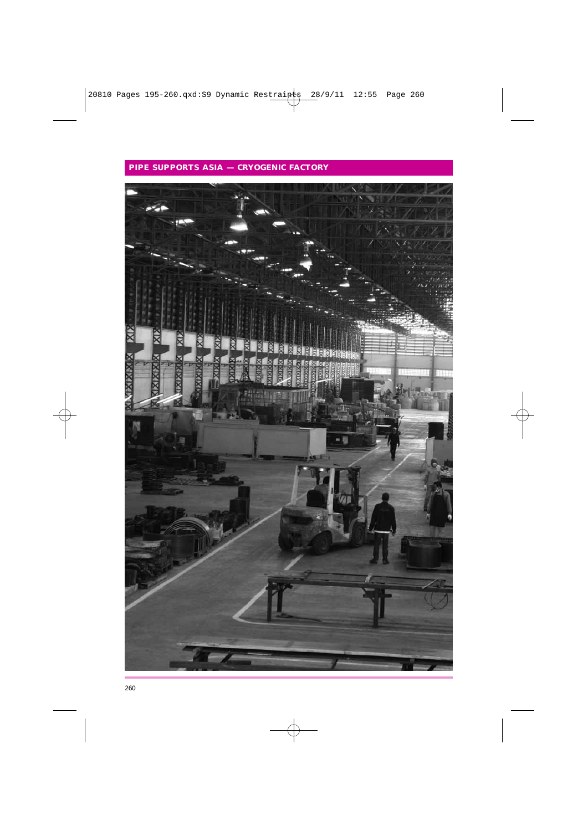# **PIPE SUPPORTS ASIA — CRYOGENIC FACTORY**

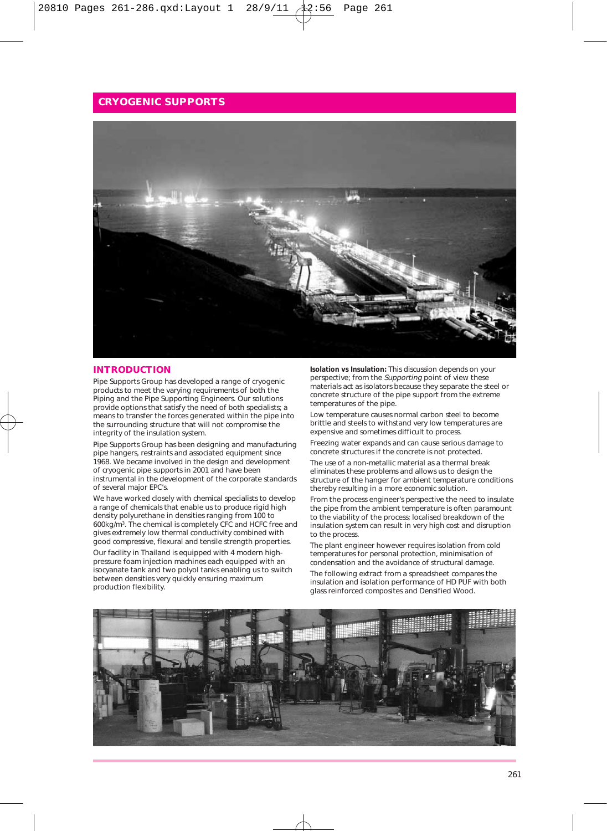

#### **INTRODUCTION**

Pipe Supports Group has developed a range of cryogenic products to meet the varying requirements of both the Piping and the Pipe Supporting Engineers. Our solutions provide options that satisfy the need of both specialists; a means to transfer the forces generated within the pipe into the surrounding structure that will not compromise the integrity of the insulation system.

Pipe Supports Group has been designing and manufacturing pipe hangers, restraints and associated equipment since 1968. We became involved in the design and development of cryogenic pipe supports in 2001 and have been instrumental in the development of the corporate standards of several major EPC's.

We have worked closely with chemical specialists to develop a range of chemicals that enable us to produce rigid high density polyurethane in densities ranging from 100 to 600kg/m3. The chemical is completely CFC and HCFC free and gives extremely low thermal conductivity combined with good compressive, flexural and tensile strength properties. Our facility in Thailand is equipped with 4 modern highpressure foam injection machines each equipped with an isocyanate tank and two polyol tanks enabling us to switch between densities very quickly ensuring maximum production flexibility.

**Isolation vs Insulation:** This discussion depends on your perspective; from the Supporting point of view these perspective, i.e., i.e., i.e., perspectively separate the steel or concrete structure of the pipe support from the extreme temperatures of the pipe.

Low temperature causes normal carbon steel to become brittle and steels to withstand very low temperatures are expensive and sometimes difficult to process.

Freezing water expands and can cause serious damage to concrete structures if the concrete is not protected.

The use of a non-metallic material as a thermal break eliminates these problems and allows us to design the structure of the hanger for ambient temperature conditions thereby resulting in a more economic solution.

From the process engineer's perspective the need to insulate the pipe from the ambient temperature is often paramount to the viability of the process; localised breakdown of the insulation system can result in very high cost and disruption to the process.

The plant engineer however requires isolation from cold temperatures for personal protection, minimisation of condensation and the avoidance of structural damage. The following extract from a spreadsheet compares the

insulation and isolation performance of HD PUF with both glass reinforced composites and Densified Wood.

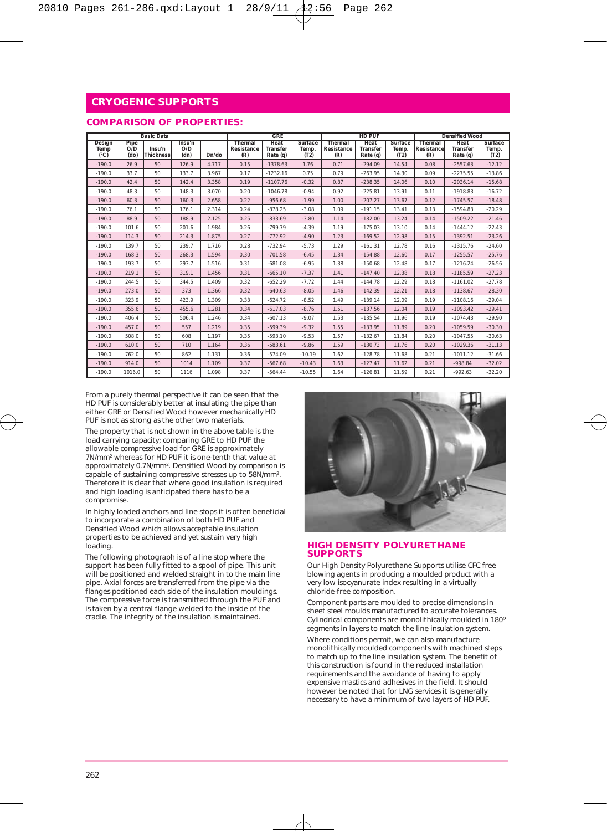### **COMPARISON OF PROPERTIES:**

|                                 |                     | <b>Basic Data</b>          |                       |       |                              | GRE                          |                          | HD PUF                       |                              |                          | <b>Densified Wood</b>        |                              |                          |
|---------------------------------|---------------------|----------------------------|-----------------------|-------|------------------------------|------------------------------|--------------------------|------------------------------|------------------------------|--------------------------|------------------------------|------------------------------|--------------------------|
| Design<br>Temp<br>$(^{\circ}C)$ | Pipe<br>O/D<br>(do) | Insu'n<br><b>Thickness</b> | Insu'n<br>O/D<br>(dn) | Dn/do | Thermal<br>Resistance<br>(R) | Heat<br>Transfer<br>Rate (q) | Surface<br>Temp.<br>(T2) | Thermal<br>Resistance<br>(R) | Heat<br>Transfer<br>Rate (q) | Surface<br>Temp.<br>(T2) | Thermal<br>Resistance<br>(R) | Heat<br>Transfer<br>Rate (q) | Surface<br>Temp.<br>(T2) |
| $-190.0$                        | 26.9                | 50                         | 126.9                 | 4.717 | 0.15                         | $-1378.63$                   | 1.76                     | 0.71                         | $-294.09$                    | 14.54                    | 0.08                         | $-2557.63$                   | $-12.12$                 |
| $-190.0$                        | 33.7                | 50                         | 133.7                 | 3.967 | 0.17                         | $-1232.16$                   | 0.75                     | 0.79                         | $-263.95$                    | 14.30                    | 0.09                         | $-2275.55$                   | $-13.86$                 |
| $-190.0$                        | 42.4                | 50                         | 142.4                 | 3.358 | 0.19                         | $-1107.76$                   | $-0.32$                  | 0.87                         | $-238.35$                    | 14.06                    | 0.10                         | $-2036.14$                   | $-15.68$                 |
| $-190.0$                        | 48.3                | 50                         | 148.3                 | 3.070 | 0.20                         | $-1046.78$                   | $-0.94$                  | 0.92                         | $-225.81$                    | 13.91                    | 0.11                         | $-1918.83$                   | $-16.72$                 |
| $-190.0$                        | 60.3                | 50                         | 160.3                 | 2.658 | 0.22                         | $-956.68$                    | $-1.99$                  | 1.00                         | $-207.27$                    | 13.67                    | 0.12                         | $-1745.57$                   | $-18.48$                 |
| $-190.0$                        | 76.1                | 50                         | 176.1                 | 2.314 | 0.24                         | $-878.25$                    | $-3.08$                  | 1.09                         | $-191.15$                    | 13.41                    | 0.13                         | $-1594.83$                   | $-20.29$                 |
| $-190.0$                        | 88.9                | 50                         | 188.9                 | 2.125 | 0.25                         | $-833.69$                    | $-3.80$                  | 1.14                         | $-182.00$                    | 13.24                    | 0.14                         | $-1509.22$                   | $-21.46$                 |
| $-190.0$                        | 101.6               | 50                         | 201.6                 | 1.984 | 0.26                         | $-799.79$                    | $-4.39$                  | 1.19                         | $-175.03$                    | 13.10                    | 0.14                         | $-1444.12$                   | $-22.43$                 |
| $-190.0$                        | 114.3               | 50                         | 214.3                 | 1.875 | 0.27                         | $-772.92$                    | $-4.90$                  | 1.23                         | $-169.52$                    | 12.98                    | 0.15                         | $-1392.51$                   | $-23.26$                 |
| $-190.0$                        | 139.7               | 50                         | 239.7                 | 1.716 | 0.28                         | $-732.94$                    | $-5.73$                  | 1.29                         | $-161.31$                    | 12.78                    | 0.16                         | $-1315.76$                   | $-24.60$                 |
| $-190.0$                        | 168.3               | 50                         | 268.3                 | 1.594 | 0.30                         | $-701.58$                    | $-6.45$                  | 1.34                         | $-154.88$                    | 12.60                    | 0.17                         | $-1255.57$                   | $-25.76$                 |
| $-190.0$                        | 193.7               | 50                         | 293.7                 | 1.516 | 0.31                         | $-681.08$                    | $-6.95$                  | 1.38                         | $-150.68$                    | 12.48                    | 0.17                         | $-1216.24$                   | $-26.56$                 |
| $-190.0$                        | 219.1               | 50                         | 319.1                 | 1.456 | 0.31                         | $-665.10$                    | $-7.37$                  | 1.41                         | $-147.40$                    | 12.38                    | 0.18                         | $-1185.59$                   | $-27.23$                 |
| $-190.0$                        | 244.5               | 50                         | 344.5                 | 1.409 | 0.32                         | $-652.29$                    | $-7.72$                  | 1.44                         | $-144.78$                    | 12.29                    | 0.18                         | $-1161.02$                   | $-27.78$                 |
| $-190.0$                        | 273.0               | 50                         | 373                   | 1.366 | 0.32                         | $-640.63$                    | $-8.05$                  | 1.46                         | $-142.39$                    | 12.21                    | 0.18                         | $-1138.67$                   | $-28.30$                 |
| $-190.0$                        | 323.9               | 50                         | 423.9                 | 1.309 | 0.33                         | $-624.72$                    | $-8.52$                  | 1.49                         | $-139.14$                    | 12.09                    | 0.19                         | $-1108.16$                   | $-29.04$                 |
| $-190.0$                        | 355.6               | 50                         | 455.6                 | 1.281 | 0.34                         | $-617.03$                    | $-8.76$                  | 1.51                         | $-137.56$                    | 12.04                    | 0.19                         | $-1093.42$                   | $-29.41$                 |
| $-190.0$                        | 406.4               | 50                         | 506.4                 | 1.246 | 0.34                         | $-607.13$                    | $-9.07$                  | 1.53                         | $-135.54$                    | 11.96                    | 0.19                         | $-1074.43$                   | $-29.90$                 |
| $-190.0$                        | 457.0               | 50                         | 557                   | 1.219 | 0.35                         | $-599.39$                    | $-9.32$                  | 1.55                         | $-133.95$                    | 11.89                    | 0.20                         | $-1059.59$                   | $-30.30$                 |
| $-190.0$                        | 508.0               | 50                         | 608                   | 1.197 | 0.35                         | $-593.10$                    | $-9.53$                  | 1.57                         | $-132.67$                    | 11.84                    | 0.20                         | $-1047.55$                   | $-30.63$                 |
| $-190.0$                        | 610.0               | 50                         | 710                   | 1.164 | 0.36                         | $-583.61$                    | $-9.86$                  | 1.59                         | $-130.73$                    | 11.76                    | 0.20                         | $-1029.36$                   | $-31.13$                 |
| $-190.0$                        | 762.0               | 50                         | 862                   | 1.131 | 0.36                         | $-574.09$                    | $-10.19$                 | 1.62                         | $-128.78$                    | 11.68                    | 0.21                         | $-1011.12$                   | $-31.66$                 |
| $-190.0$                        | 914.0               | 50                         | 1014                  | 1.109 | 0.37                         | $-567.68$                    | $-10.43$                 | 1.63                         | $-127.47$                    | 11.62                    | 0.21                         | $-998.84$                    | $-32.02$                 |
| $-190.0$                        | 1016.0              | 50                         | 1116                  | 1.098 | 0.37                         | $-564.44$                    | $-10.55$                 | 1.64                         | $-126.81$                    | 11.59                    | 0.21                         | $-992.63$                    | $-32.20$                 |

From a purely thermal perspective it can be seen that the HD PUF is considerably better at insulating the pipe than either GRE or Densified Wood however mechanically HD PUF is not as strong as the other two materials.

The property that is not shown in the above table is the load carrying capacity; comparing GRE to HD PUF the allowable compressive load for GRE is approximately 7N/mm2 whereas for HD PUF it is one-tenth that value at approximately 0.7N/mm2. Densified Wood by comparison is capable of sustaining compressive stresses up to 58N/mm2. Therefore it is clear that where good insulation is required and high loading is anticipated there has to be a compromise.

In highly loaded anchors and line stops it is often beneficial to incorporate a combination of both HD PUF and Densified Wood which allows acceptable insulation properties to be achieved and yet sustain very high loading.

The following photograph is of a line stop where the support has been fully fitted to a spool of pipe. This unit will be positioned and welded straight in to the main line pipe. Axial forces are transferred from the pipe via the flanges positioned each side of the insulation mouldings. The compressive force is transmitted through the PUF and is taken by a central flange welded to the inside of the cradle. The integrity of the insulation is maintained.



#### **HIGH DENSITY POLYURETHANE SUPPORTS**

Our High Density Polyurethane Supports utilise CFC free blowing agents in producing a moulded product with a very low isocyanurate index resulting in a virtually chloride-free composition.

Component parts are moulded to precise dimensions in sheet steel moulds manufactured to accurate tolerances. Cylindrical components are monolithically moulded in 180º segments in layers to match the line insulation system.

Where conditions permit, we can also manufacture monolithically moulded components with machined steps to match up to the line insulation system. The benefit of this construction is found in the reduced installation requirements and the avoidance of having to apply expensive mastics and adhesives in the field. It should however be noted that for LNG services it is generally necessary to have a minimum of two layers of HD PUF.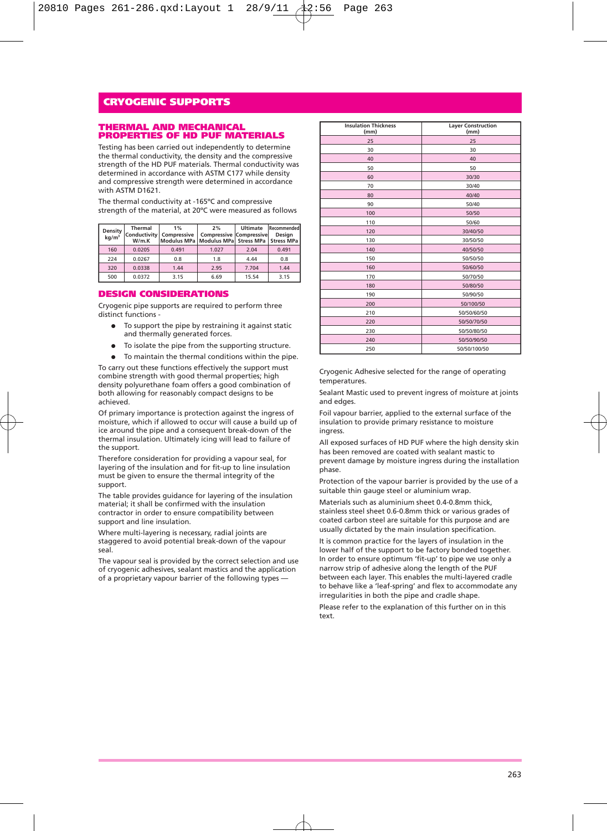#### **THERMAL AND MECHANICAL PROPERTIES OF HD PUF MATERIALS**

Testing has been carried out independently to determine the thermal conductivity, the density and the compressive strength of the HD PUF materials. Thermal conductivity was determined in accordance with ASTM C177 while density and compressive strength were determined in accordance with ASTM D1621.

The thermal conductivity at -165ºC and compressive strength of the material, at 20ºC were measured as follows

| <b>Density</b><br>$kg/m^3$ | Thermal<br>W/m.K | 1%<br>Conductivity Compressive<br>Modulus MPa   Modulus MPa   Stress MPa   Stress MPa | 2%<br><b>Compressive Compressive</b> | Ultimate | Recommended<br>Desian |  |
|----------------------------|------------------|---------------------------------------------------------------------------------------|--------------------------------------|----------|-----------------------|--|
| 160                        | 0.0205           | 0.491                                                                                 | 1.027                                | 2.04     | 0.491                 |  |
| 224                        | 0.0267           | 0.8                                                                                   | 1.8                                  | 4.44     | 0.8                   |  |
| 320                        | 0.0338           | 1.44                                                                                  | 2.95                                 | 7.704    | 1.44                  |  |
| 500                        | 0.0372           | 3.15                                                                                  | 6.69                                 | 15.54    | 3.15                  |  |

#### **DESIGN CONSIDERATIONS**

Cryogenic pipe supports are required to perform three distinct functions -

- To support the pipe by restraining it against static and thermally generated forces.
- To isolate the pipe from the supporting structure.
- To maintain the thermal conditions within the pipe.

To carry out these functions effectively the support must combine strength with good thermal properties; high density polyurethane foam offers a good combination of both allowing for reasonably compact designs to be achieved.

Of primary importance is protection against the ingress of moisture, which if allowed to occur will cause a build up of ice around the pipe and a consequent break-down of the thermal insulation. Ultimately icing will lead to failure of the support.

Therefore consideration for providing a vapour seal, for layering of the insulation and for fit-up to line insulation must be given to ensure the thermal integrity of the support.

The table provides guidance for layering of the insulation material; it shall be confirmed with the insulation contractor in order to ensure compatibility between support and line insulation.

Where multi-layering is necessary, radial joints are staggered to avoid potential break-down of the vapour seal.

The vapour seal is provided by the correct selection and use of cryogenic adhesives, sealant mastics and the application of a proprietary vapour barrier of the following types —

| <b>Insulation Thickness</b><br>(mm) | <b>Layer Construction</b><br>(mm) |
|-------------------------------------|-----------------------------------|
| 25                                  | 25                                |
| 30                                  | 30                                |
| 40                                  | 40                                |
| 50                                  | 50                                |
| 60                                  | 30/30                             |
| 70                                  | 30/40                             |
| 80                                  | 40/40                             |
| 90                                  | 50/40                             |
| 100                                 | 50/50                             |
| 110                                 | 50/60                             |
| 120                                 | 30/40/50                          |
| 130                                 | 30/50/50                          |
| 140                                 | 40/50/50                          |
| 150                                 | 50/50/50                          |
| 160                                 | 50/60/50                          |
| 170                                 | 50/70/50                          |
| 180                                 | 50/80/50                          |
| 190                                 | 50/90/50                          |
| 200                                 | 50/100/50                         |
| 210                                 | 50/50/60/50                       |
| 220                                 | 50/50/70/50                       |
| 230                                 | 50/50/80/50                       |
| 240                                 | 50/50/90/50                       |
| 250                                 | 50/50/100/50                      |

Cryogenic Adhesive selected for the range of operating temperatures.

Sealant Mastic used to prevent ingress of moisture at joints and edges.

Foil vapour barrier, applied to the external surface of the insulation to provide primary resistance to moisture ingress.

All exposed surfaces of HD PUF where the high density skin has been removed are coated with sealant mastic to prevent damage by moisture ingress during the installation phase.

Protection of the vapour barrier is provided by the use of a suitable thin gauge steel or aluminium wrap.

Materials such as aluminium sheet 0.4-0.8mm thick, stainless steel sheet 0.6-0.8mm thick or various grades of coated carbon steel are suitable for this purpose and are usually dictated by the main insulation specification.

It is common practice for the layers of insulation in the lower half of the support to be factory bonded together. In order to ensure optimum 'fit-up' to pipe we use only a narrow strip of adhesive along the length of the PUF between each layer. This enables the multi-layered cradle to behave like a 'leaf-spring' and flex to accommodate any irregularities in both the pipe and cradle shape.

Please refer to the explanation of this further on in this text.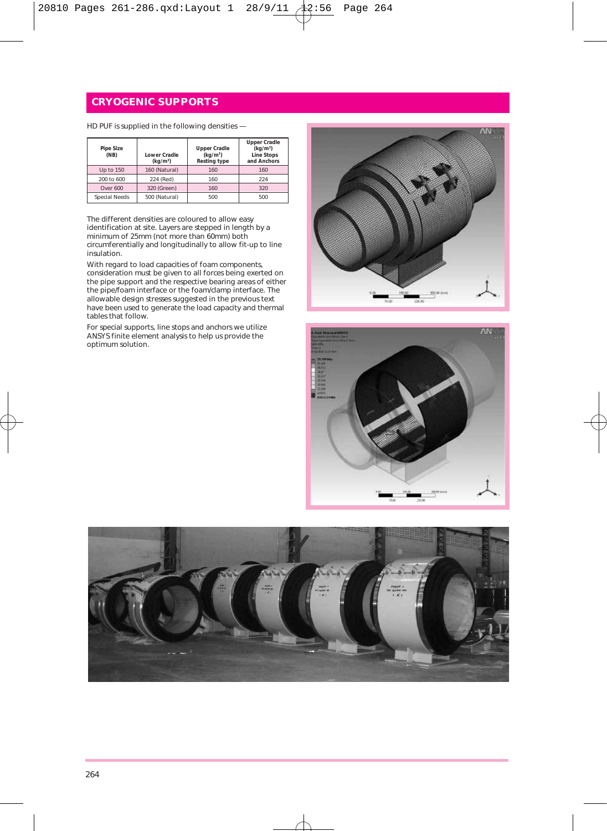HD PUF is supplied in the following densities —

| <b>Pipe Size</b><br>(NB) | Lower Cradle<br>(kq/m <sup>3</sup> ) | <b>Upper Cradle</b><br>(kq/m <sup>3</sup> )<br><b>Resting type</b> | <b>Upper Cradle</b><br>(kq/m <sup>3</sup> )<br><b>Line Stops</b><br>and Anchors |
|--------------------------|--------------------------------------|--------------------------------------------------------------------|---------------------------------------------------------------------------------|
| Up to 150                | 160 (Natural)                        | 160                                                                | 160                                                                             |
| 200 to 600               | 224 (Red)                            | 160                                                                | 224                                                                             |
| Over 600                 | 320 (Green)                          | 160                                                                | 320                                                                             |
| Special Needs            | 500 (Natural)                        | 500                                                                | 500                                                                             |

The different densities are coloured to allow easy identification at site. Layers are stepped in length by a minimum of 25mm (not more than 60mm) both circumferentially and longitudinally to allow fit-up to line insulation.

With regard to load capacities of foam components, consideration must be given to all forces being exerted on the pipe support and the respective bearing areas of either the pipe/foam interface or the foam/clamp interface. The allowable design stresses suggested in the previous text have been used to generate the load capacity and thermal tables that follow.

For special supports, line stops and anchors we utilize ANSYS finite element analysis to help us provide the optimum solution.





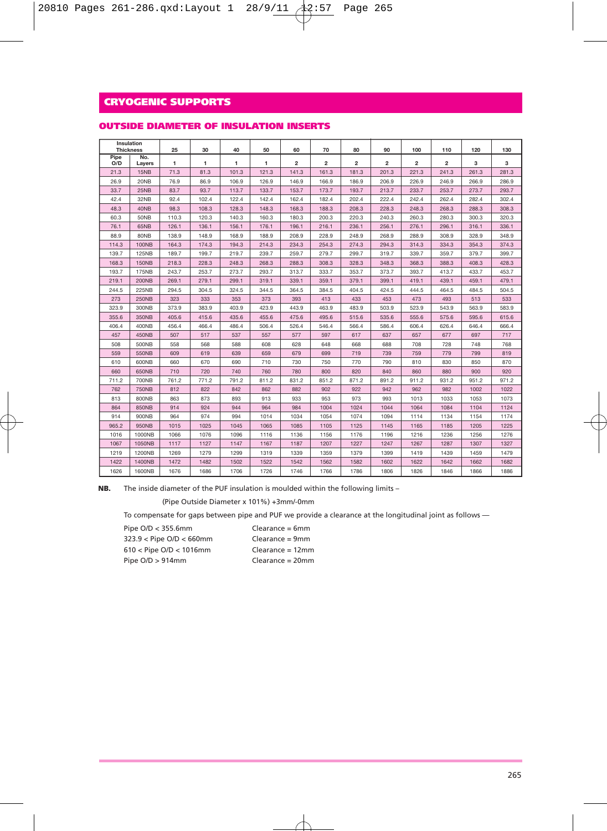|  |  | OUTSIDE DIAMETER OF INSULATION INSERTS |  |
|--|--|----------------------------------------|--|
|--|--|----------------------------------------|--|

| <b>Thickness</b> | Insulation    | 25    | 30    | 40    | 50    | 60             | 70    | 80             | 90             | 100   | 110            | 120   | 130   |
|------------------|---------------|-------|-------|-------|-------|----------------|-------|----------------|----------------|-------|----------------|-------|-------|
| Pipe<br>O/D      | No.<br>Layers | 1     | 1     | 1     | 1     | $\overline{2}$ | 2     | $\overline{2}$ | $\overline{2}$ | 2     | $\overline{2}$ | 3     | з     |
| 21.3             | 15NB          | 71.3  | 81.3  | 101.3 | 121.3 | 141.3          | 161.3 | 181.3          | 201.3          | 221.3 | 241.3          | 261.3 | 281.3 |
| 26.9             | 20NB          | 76.9  | 86.9  | 106.9 | 126.9 | 146.9          | 166.9 | 186.9          | 206.9          | 226.9 | 246.9          | 266.9 | 286.9 |
| 33.7             | 25NB          | 83.7  | 93.7  | 113.7 | 133.7 | 153.7          | 173.7 | 193.7          | 213.7          | 233.7 | 253.7          | 273.7 | 293.7 |
| 42.4             | 32NB          | 92.4  | 102.4 | 122.4 | 142.4 | 162.4          | 182.4 | 202.4          | 222.4          | 242.4 | 262.4          | 282.4 | 302.4 |
| 48.3             | 40NB          | 98.3  | 108.3 | 128.3 | 148.3 | 168.3          | 188.3 | 208.3          | 228.3          | 248.3 | 268.3          | 288.3 | 308.3 |
| 60.3             | 50NB          | 110.3 | 120.3 | 140.3 | 160.3 | 180.3          | 200.3 | 220.3          | 240.3          | 260.3 | 280.3          | 300.3 | 320.3 |
| 76.1             | 65NB          | 126.1 | 136.1 | 156.1 | 176.1 | 196.1          | 216.1 | 236.1          | 256.1          | 276.1 | 296.1          | 316.1 | 336.1 |
| 88.9             | 80NB          | 138.9 | 148.9 | 168.9 | 188.9 | 208.9          | 228.9 | 248.9          | 268.9          | 288.9 | 308.9          | 328.9 | 348.9 |
| 114.3            | <b>100NB</b>  | 164.3 | 174.3 | 194.3 | 214.3 | 234.3          | 254.3 | 274.3          | 294.3          | 314.3 | 334.3          | 354.3 | 374.3 |
| 139.7            | <b>125NB</b>  | 189.7 | 199.7 | 219.7 | 239.7 | 259.7          | 279.7 | 299.7          | 319.7          | 339.7 | 359.7          | 379.7 | 399.7 |
| 168.3            | <b>150NB</b>  | 218.3 | 228.3 | 248.3 | 268.3 | 288.3          | 308.3 | 328.3          | 348.3          | 368.3 | 388.3          | 408.3 | 428.3 |
| 193.7            | 175NB         | 243.7 | 253.7 | 273.7 | 293.7 | 313.7          | 333.7 | 353.7          | 373.7          | 393.7 | 413.7          | 433.7 | 453.7 |
| 219.1            | <b>200NB</b>  | 269.1 | 279.1 | 299.1 | 319.1 | 339.1          | 359.1 | 379.1          | 399.1          | 419.1 | 439.1          | 459.1 | 479.1 |
| 244.5            | 225NB         | 294.5 | 304.5 | 324.5 | 344.5 | 364.5          | 384.5 | 404.5          | 424.5          | 444.5 | 464.5          | 484.5 | 504.5 |
| 273              | <b>250NB</b>  | 323   | 333   | 353   | 373   | 393            | 413   | 433            | 453            | 473   | 493            | 513   | 533   |
| 323.9            | 300NB         | 373.9 | 383.9 | 403.9 | 423.9 | 443.9          | 463.9 | 483.9          | 503.9          | 523.9 | 543.9          | 563.9 | 583.9 |
| 355.6            | 350NB         | 405.6 | 415.6 | 435.6 | 455.6 | 475.6          | 495.6 | 515.6          | 535.6          | 555.6 | 575.6          | 595.6 | 615.6 |
| 406.4            | 400NB         | 456.4 | 466.4 | 486.4 | 506.4 | 526.4          | 546.4 | 566.4          | 586.4          | 606.4 | 626.4          | 646.4 | 666.4 |
| 457              | 450NB         | 507   | 517   | 537   | 557   | 577            | 597   | 617            | 637            | 657   | 677            | 697   | 717   |
| 508              | 500NB         | 558   | 568   | 588   | 608   | 628            | 648   | 668            | 688            | 708   | 728            | 748   | 768   |
| 559              | 550NB         | 609   | 619   | 639   | 659   | 679            | 699   | 719            | 739            | 759   | 779            | 799   | 819   |
| 610              | 600NB         | 660   | 670   | 690   | 710   | 730            | 750   | 770            | 790            | 810   | 830            | 850   | 870   |
| 660              | 650NB         | 710   | 720   | 740   | 760   | 780            | 800   | 820            | 840            | 860   | 880            | 900   | 920   |
| 711.2            | 700NB         | 761.2 | 771.2 | 791.2 | 811.2 | 831.2          | 851.2 | 871.2          | 891.2          | 911.2 | 931.2          | 951.2 | 971.2 |
| 762              | <b>750NB</b>  | 812   | 822   | 842   | 862   | 882            | 902   | 922            | 942            | 962   | 982            | 1002  | 1022  |
| 813              | <b>800NB</b>  | 863   | 873   | 893   | 913   | 933            | 953   | 973            | 993            | 1013  | 1033           | 1053  | 1073  |
| 864              | 850NB         | 914   | 924   | 944   | 964   | 984            | 1004  | 1024           | 1044           | 1064  | 1084           | 1104  | 1124  |
| 914              | 900NB         | 964   | 974   | 994   | 1014  | 1034           | 1054  | 1074           | 1094           | 1114  | 1134           | 1154  | 1174  |
| 965.2            | 950NB         | 1015  | 1025  | 1045  | 1065  | 1085           | 1105  | 1125           | 1145           | 1165  | 1185           | 1205  | 1225  |
| 1016             | 1000NB        | 1066  | 1076  | 1096  | 1116  | 1136           | 1156  | 1176           | 1196           | 1216  | 1236           | 1256  | 1276  |
| 1067             | 1050NB        | 1117  | 1127  | 1147  | 1167  | 1187           | 1207  | 1227           | 1247           | 1267  | 1287           | 1307  | 1327  |
| 1219             | <b>1200NB</b> | 1269  | 1279  | 1299  | 1319  | 1339           | 1359  | 1379           | 1399           | 1419  | 1439           | 1459  | 1479  |
| 1422             | 1400NB        | 1472  | 1482  | 1502  | 1522  | 1542           | 1562  | 1582           | 1602           | 1622  | 1642           | 1662  | 1682  |
| 1626             | 1600NB        | 1676  | 1686  | 1706  | 1726  | 1746           | 1766  | 1786           | 1806           | 1826  | 1846           | 1866  | 1886  |

**NB.** The inside diameter of the PUF insulation is moulded within the following limits –

(Pipe Outside Diameter x 101%) +3mm/-0mm

To compensate for gaps between pipe and PUF we provide a clearance at the longitudinal joint as follows —

| Pipe O/D < 355.6mm           | $Clearance = 6mm$  |
|------------------------------|--------------------|
| $323.9 <$ Pipe O/D $<$ 660mm | $Clearance = 9mm$  |
| $610 <$ Pipe O/D < 1016mm    | $Clearance = 12mm$ |
| Pipe $O/D > 914$ mm          | $Clearance = 20mm$ |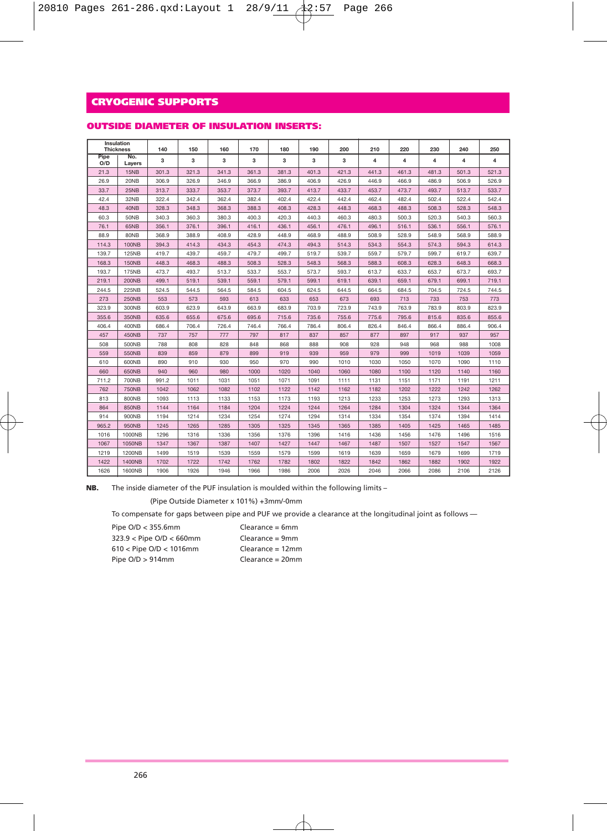| OUTSIDE DIAMETER OF INSULATION INSERTS: |  |  |
|-----------------------------------------|--|--|
|-----------------------------------------|--|--|

|             | Insulation<br><b>Thickness</b> | 140   | 150   | 160   | 170   | 180   | 190   | 200   | 210   | 220   | 230   | 240   | 250   |
|-------------|--------------------------------|-------|-------|-------|-------|-------|-------|-------|-------|-------|-------|-------|-------|
| Pipe<br>O/D | No.<br>Layers                  | 3     | 3     | з     | 3     | 3     | 3     | 3     | 4     | 4     | 4     | 4     | 4     |
| 21.3        | 15NB                           | 301.3 | 321.3 | 341.3 | 361.3 | 381.3 | 401.3 | 421.3 | 441.3 | 461.3 | 481.3 | 501.3 | 521.3 |
| 26.9        | 20NB                           | 306.9 | 326.9 | 346.9 | 366.9 | 386.9 | 406.9 | 426.9 | 446.9 | 466.9 | 486.9 | 506.9 | 526.9 |
| 33.7        | 25NB                           | 313.7 | 333.7 | 353.7 | 373.7 | 393.7 | 413.7 | 433.7 | 453.7 | 473.7 | 493.7 | 513.7 | 533.7 |
| 42.4        | 32NB                           | 322.4 | 342.4 | 362.4 | 382.4 | 402.4 | 422.4 | 442.4 | 462.4 | 482.4 | 502.4 | 522.4 | 542.4 |
| 48.3        | 40NB                           | 328.3 | 348.3 | 368.3 | 388.3 | 408.3 | 428.3 | 448.3 | 468.3 | 488.3 | 508.3 | 528.3 | 548.3 |
| 60.3        | <b>50NB</b>                    | 340.3 | 360.3 | 380.3 | 400.3 | 420.3 | 440.3 | 460.3 | 480.3 | 500.3 | 520.3 | 540.3 | 560.3 |
| 76.1        | 65NB                           | 356.1 | 376.1 | 396.1 | 416.1 | 436.1 | 456.1 | 476.1 | 496.1 | 516.1 | 536.1 | 556.1 | 576.1 |
| 88.9        | 80NB                           | 368.9 | 388.9 | 408.9 | 428.9 | 448.9 | 468.9 | 488.9 | 508.9 | 528.9 | 548.9 | 568.9 | 588.9 |
| 114.3       | <b>100NB</b>                   | 394.3 | 414.3 | 434.3 | 454.3 | 474.3 | 494.3 | 514.3 | 534.3 | 554.3 | 574.3 | 594.3 | 614.3 |
| 139.7       | <b>125NB</b>                   | 419.7 | 439.7 | 459.7 | 479.7 | 499.7 | 519.7 | 539.7 | 559.7 | 579.7 | 599.7 | 619.7 | 639.7 |
| 168.3       | <b>150NB</b>                   | 448.3 | 468.3 | 488.3 | 508.3 | 528.3 | 548.3 | 568.3 | 588.3 | 608.3 | 628.3 | 648.3 | 668.3 |
| 193.7       | <b>175NB</b>                   | 473.7 | 493.7 | 513.7 | 533.7 | 553.7 | 573.7 | 593.7 | 613.7 | 633.7 | 653.7 | 673.7 | 693.7 |
| 219.1       | <b>200NB</b>                   | 499.1 | 519.1 | 539.1 | 559.1 | 579.1 | 599.1 | 619.1 | 639.1 | 659.1 | 679.1 | 699.1 | 719.1 |
| 244.5       | 225NB                          | 524.5 | 544.5 | 564.5 | 584.5 | 604.5 | 624.5 | 644.5 | 664.5 | 684.5 | 704.5 | 724.5 | 744.5 |
| 273         | <b>250NB</b>                   | 553   | 573   | 593   | 613   | 633   | 653   | 673   | 693   | 713   | 733   | 753   | 773   |
| 323.9       | 300NB                          | 603.9 | 623.9 | 643.9 | 663.9 | 683.9 | 703.9 | 723.9 | 743.9 | 763.9 | 783.9 | 803.9 | 823.9 |
| 355.6       | 350NB                          | 635.6 | 655.6 | 675.6 | 695.6 | 715.6 | 735.6 | 755.6 | 775.6 | 795.6 | 815.6 | 835.6 | 855.6 |
| 406.4       | 400NB                          | 686.4 | 706.4 | 726.4 | 746.4 | 766.4 | 786.4 | 806.4 | 826.4 | 846.4 | 866.4 | 886.4 | 906.4 |
| 457         | 450NB                          | 737   | 757   | 777   | 797   | 817   | 837   | 857   | 877   | 897   | 917   | 937   | 957   |
| 508         | 500NB                          | 788   | 808   | 828   | 848   | 868   | 888   | 908   | 928   | 948   | 968   | 988   | 1008  |
| 559         | 550NB                          | 839   | 859   | 879   | 899   | 919   | 939   | 959   | 979   | 999   | 1019  | 1039  | 1059  |
| 610         | 600NB                          | 890   | 910   | 930   | 950   | 970   | 990   | 1010  | 1030  | 1050  | 1070  | 1090  | 1110  |
| 660         | 650NB                          | 940   | 960   | 980   | 1000  | 1020  | 1040  | 1060  | 1080  | 1100  | 1120  | 1140  | 1160  |
| 711.2       | 700NB                          | 991.2 | 1011  | 1031  | 1051  | 1071  | 1091  | 1111  | 1131  | 1151  | 1171  | 1191  | 1211  |
| 762         | <b>750NB</b>                   | 1042  | 1062  | 1082  | 1102  | 1122  | 1142  | 1162  | 1182  | 1202  | 1222  | 1242  | 1262  |
| 813         | 800NB                          | 1093  | 1113  | 1133  | 1153  | 1173  | 1193  | 1213  | 1233  | 1253  | 1273  | 1293  | 1313  |
| 864         | 850NB                          | 1144  | 1164  | 1184  | 1204  | 1224  | 1244  | 1264  | 1284  | 1304  | 1324  | 1344  | 1364  |
| 914         | 900NB                          | 1194  | 1214  | 1234  | 1254  | 1274  | 1294  | 1314  | 1334  | 1354  | 1374  | 1394  | 1414  |
| 965.2       | 950NB                          | 1245  | 1265  | 1285  | 1305  | 1325  | 1345  | 1365  | 1385  | 1405  | 1425  | 1465  | 1485  |
| 1016        | 1000NB                         | 1296  | 1316  | 1336  | 1356  | 1376  | 1396  | 1416  | 1436  | 1456  | 1476  | 1496  | 1516  |
| 1067        | 1050NB                         | 1347  | 1367  | 1387  | 1407  | 1427  | 1447  | 1467  | 1487  | 1507  | 1527  | 1547  | 1567  |
| 1219        | 1200NB                         | 1499  | 1519  | 1539  | 1559  | 1579  | 1599  | 1619  | 1639  | 1659  | 1679  | 1699  | 1719  |
| 1422        | 1400NB                         | 1702  | 1722  | 1742  | 1762  | 1782  | 1802  | 1822  | 1842  | 1862  | 1882  | 1902  | 1922  |
| 1626        | 1600NB                         | 1906  | 1926  | 1946  | 1966  | 1986  | 2006  | 2026  | 2046  | 2066  | 2086  | 2106  | 2126  |

**NB.** The inside diameter of the PUF insulation is moulded within the following limits –

(Pipe Outside Diameter x 101%) +3mm/-0mm

To compensate for gaps between pipe and PUF we provide a clearance at the longitudinal joint as follows —

| Pipe O/D < 355.6mm           | $Clearance = 6mm$  |
|------------------------------|--------------------|
| $323.9 <$ Pipe O/D $<$ 660mm | $Clearance = 9mm$  |
| $610 <$ Pipe O/D $<$ 1016mm  | $Clearance = 12mm$ |
| Pipe $O/D > 914$ mm          | $Clearance = 20mm$ |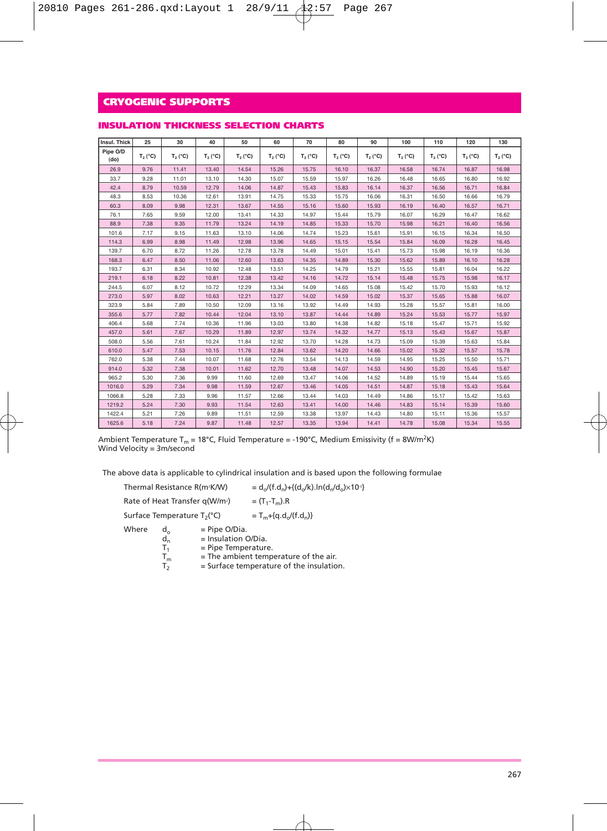| Insul, Thick     | 25               | 30         | 40         | 50         | 60         | 70         | 80         | 90         | 100        | 110        | 120        | 130        |
|------------------|------------------|------------|------------|------------|------------|------------|------------|------------|------------|------------|------------|------------|
| Pipe O/D<br>(do) | $T_2(^{\circ}C)$ | $T_2 (°C)$ | $T_2 (°C)$ | $T_2 (°C)$ | $T_2 (°C)$ | $T_2 (°C)$ | $T_2 (°C)$ | $T_2 (°C)$ | $T_2 (°C)$ | $T_2 (°C)$ | $T_2 (°C)$ | $T_2 (°C)$ |
| 26.9             | 9.76             | 11.41      | 13.40      | 14.54      | 15.26      | 15.75      | 16.10      | 16.37      | 16.58      | 16.74      | 16.87      | 16.98      |
| 33.7             | 9.28             | 11.01      | 13.10      | 14.30      | 15.07      | 15.59      | 15,97      | 16.26      | 16.48      | 16.65      | 16.80      | 16.92      |
| 42.4             | 8.79             | 10.59      | 12.79      | 14.06      | 14.87      | 15.43      | 15.83      | 16.14      | 16.37      | 16.56      | 16.71      | 16.84      |
| 48.3             | 8.53             | 10.36      | 12.61      | 13.91      | 14.75      | 15.33      | 15.75      | 16.06      | 16.31      | 16.50      | 16.66      | 16.79      |
| 60.3             | 8.09             | 9.98       | 12.31      | 13.67      | 14.55      | 15.16      | 15.60      | 15.93      | 16.19      | 16.40      | 16.57      | 16.71      |
| 76.1             | 7.65             | 9.59       | 12.00      | 13.41      | 14.33      | 14.97      | 15.44      | 15.79      | 16.07      | 16.29      | 16.47      | 16.62      |
| 88.9             | 7.38             | 9.35       | 11.79      | 13.24      | 14.19      | 14.85      | 15.33      | 15.70      | 15.98      | 16.21      | 16.40      | 16.56      |
| 101.6            | 7.17             | 9.15       | 11.63      | 13.10      | 14.06      | 14.74      | 15.23      | 15.61      | 15.91      | 16.15      | 16.34      | 16.50      |
| 114.3            | 6.99             | 8.98       | 11.49      | 12.98      | 13.96      | 14.65      | 15.15      | 15.54      | 15.84      | 16.09      | 16.28      | 16.45      |
| 139.7            | 6.70             | 8.72       | 11.26      | 12.78      | 13.78      | 14.49      | 15.01      | 15.41      | 15.73      | 15.98      | 16.19      | 16.36      |
| 168.3            | 6.47             | 8.50       | 11.06      | 12.60      | 13.63      | 14.35      | 14.89      | 15.30      | 15.62      | 15.89      | 16.10      | 16.28      |
| 193.7            | 6.31             | 8.34       | 10.92      | 12.48      | 13.51      | 14.25      | 14.79      | 15.21      | 15.55      | 15.81      | 16.04      | 16.22      |
| 219.1            | 6.18             | 8.22       | 10.81      | 12.38      | 13.42      | 14.16      | 14.72      | 15.14      | 15.48      | 15.75      | 15,98      | 16.17      |
| 244.5            | 6.07             | 8.12       | 10.72      | 12.29      | 13.34      | 14.09      | 14.65      | 15.08      | 15.42      | 15.70      | 15.93      | 16.12      |
| 273.0            | 5.97             | 8.02       | 10.63      | 12.21      | 13.27      | 14.02      | 14.59      | 15.02      | 15.37      | 15.65      | 15.88      | 16.07      |
| 323.9            | 5.84             | 7.89       | 10.50      | 12.09      | 13.16      | 13.92      | 14.49      | 14.93      | 15.28      | 15.57      | 15.81      | 16.00      |
| 355.6            | 5.77             | 7.82       | 10.44      | 12.04      | 13.10      | 13.87      | 14.44      | 14.89      | 15.24      | 15.53      | 15.77      | 15.97      |
| 406.4            | 5.68             | 7.74       | 10.36      | 11.96      | 13.03      | 13,80      | 14.38      | 14.82      | 15.18      | 15.47      | 15.71      | 15.92      |
| 457.0            | 5.61             | 7.67       | 10.29      | 11.89      | 12.97      | 13.74      | 14.32      | 14.77      | 15.13      | 15.43      | 15.67      | 15.87      |
| 508.0            | 5.56             | 7.61       | 10.24      | 11.84      | 12.92      | 13.70      | 14.28      | 14.73      | 15.09      | 15.39      | 15.63      | 15.84      |
| 610.0            | 5.47             | 7.53       | 10.15      | 11.76      | 12.84      | 13.62      | 14.20      | 14.66      | 15.02      | 15.32      | 15.57      | 15.78      |
| 762.0            | 5.38             | 7.44       | 10.07      | 11.68      | 12.76      | 13.54      | 14.13      | 14.59      | 14.95      | 15.25      | 15.50      | 15.71      |
| 914.0            | 5.32             | 7.38       | 10.01      | 11.62      | 12.70      | 13.48      | 14.07      | 14.53      | 14.90      | 15.20      | 15.45      | 15.67      |
| 965.2            | 5.30             | 7.36       | 9.99       | 11.60      | 12.69      | 13.47      | 14.06      | 14.52      | 14.89      | 15.19      | 15.44      | 15.65      |
| 1016.0           | 5.29             | 7.34       | 9.98       | 11.59      | 12.67      | 13.46      | 14.05      | 14.51      | 14.87      | 15.18      | 15.43      | 15.64      |
| 1066.8           | 5.28             | 7.33       | 9.96       | 11.57      | 12.66      | 13.44      | 14.03      | 14.49      | 14.86      | 15.17      | 15.42      | 15.63      |
| 1219.2           | 5.24             | 7.30       | 9.93       | 11.54      | 12.63      | 13.41      | 14.00      | 14.46      | 14.83      | 15.14      | 15.39      | 15.60      |
| 1422.4           | 5.21             | 7.26       | 9.89       | 11.51      | 12.59      | 13.38      | 13.97      | 14.43      | 14.80      | 15.11      | 15.36      | 15.57      |
| 1625.6           | 5.18             | 7.24       | 9.87       | 11.48      | 12.57      | 13.35      | 13.94      | 14.41      | 14.78      | 15.08      | 15.34      | 15.55      |

#### **INSULATION THICKNESS SELECTION CHARTS**

Ambient Temperature T<sub>m</sub> = 18°C, Fluid Temperature = -190°C, Medium Emissivity (f = 8W/m<sup>2</sup>K) Wind Velocity = 3m/second

The above data is applicable to cylindrical insulation and is based upon the following formulae

|       | Thermal Resistance R(m <sup>2</sup> K/W)   |                                                                 | $=d_n/(f.d_n)+{(d_n/k)}.ln(d_n/d_n)\times 10^{3}$ |  |  |  |
|-------|--------------------------------------------|-----------------------------------------------------------------|---------------------------------------------------|--|--|--|
|       | Rate of Heat Transfer q(W/m <sup>2</sup> ) |                                                                 | $=$ $(T_1 - T_m)$ .R                              |  |  |  |
|       | Surface Temperature T <sub>2</sub> (°C)    |                                                                 | $T_m + {q.d./(f.d_n)}$                            |  |  |  |
| Where | $d_{\alpha}$<br>$d_n$<br>т.                | $=$ Pipe O/Dia.<br>$=$ Insulation O/Dia.<br>= Pipe Temperature. | $-$ The ambient temperature of the air            |  |  |  |

 $T_m$  = The ambient temperature of the air.<br> $T_2$  = Surface temperature of the insulatio  $=$  Surface temperature of the insulation.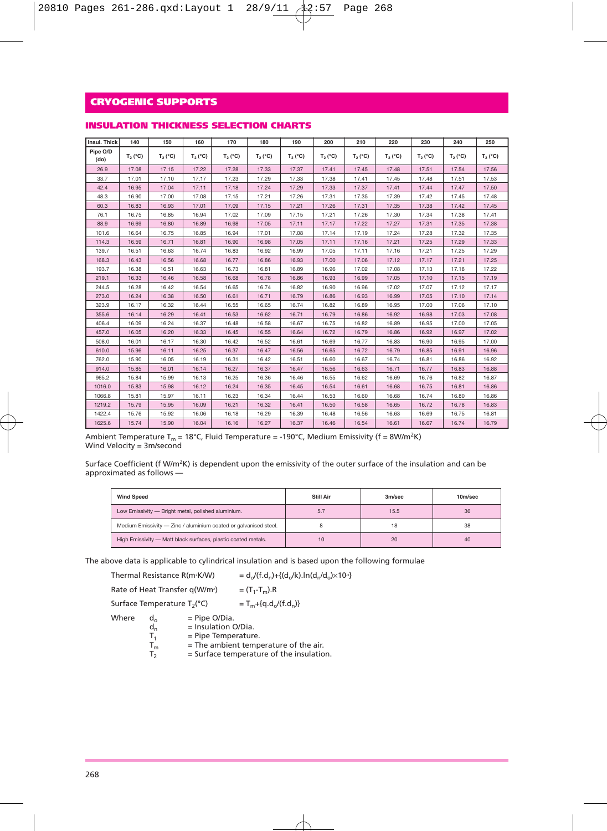#### **INSULATION THICKNESS SELECTION CHARTS**

| Insul. Thick     | 140        | 150        | 160        | 170        | 180        | 190        | 200        | 210        | 220        | 230        | 240        | 250        |
|------------------|------------|------------|------------|------------|------------|------------|------------|------------|------------|------------|------------|------------|
| Pipe O/D<br>(do) | $T_2 (°C)$ | $T_2 (°C)$ | $T_2 (°C)$ | $T_2 (°C)$ | $T_2 (°C)$ | $T_2 (°C)$ | $T_2 (°C)$ | $T_2 (°C)$ | $T_2 (°C)$ | $T_2 (°C)$ | $T_2 (°C)$ | $T_2 (°C)$ |
| 26.9             | 17.08      | 17.15      | 17.22      | 17.28      | 17.33      | 17.37      | 17.41      | 17.45      | 17.48      | 17.51      | 17.54      | 17.56      |
| 33.7             | 17.01      | 17.10      | 17.17      | 17.23      | 17.29      | 17.33      | 17.38      | 17.41      | 17.45      | 17.48      | 17.51      | 17.53      |
| 42.4             | 16.95      | 17.04      | 17.11      | 17.18      | 17.24      | 17.29      | 17.33      | 17.37      | 17.41      | 17.44      | 17.47      | 17.50      |
| 48.3             | 16.90      | 17.00      | 17.08      | 17.15      | 17.21      | 17.26      | 17.31      | 17.35      | 17.39      | 17.42      | 17.45      | 17.48      |
| 60.3             | 16.83      | 16.93      | 17.01      | 17.09      | 17.15      | 17.21      | 17.26      | 17.31      | 17.35      | 17.38      | 17.42      | 17.45      |
| 76.1             | 16.75      | 16.85      | 16.94      | 17.02      | 17.09      | 17.15      | 17.21      | 17.26      | 17.30      | 17.34      | 17.38      | 17.41      |
| 88.9             | 16.69      | 16.80      | 16.89      | 16.98      | 17.05      | 17.11      | 17.17      | 17.22      | 17.27      | 17.31      | 17.35      | 17.38      |
| 101.6            | 16.64      | 16.75      | 16.85      | 16.94      | 17.01      | 17.08      | 17.14      | 17.19      | 17.24      | 17.28      | 17.32      | 17.35      |
| 114.3            | 16.59      | 16.71      | 16.81      | 16.90      | 16.98      | 17.05      | 17.11      | 17.16      | 17.21      | 17.25      | 17.29      | 17.33      |
| 139.7            | 16.51      | 16.63      | 16.74      | 16.83      | 16.92      | 16.99      | 17.05      | 17.11      | 17.16      | 17.21      | 17.25      | 17.29      |
| 168.3            | 16.43      | 16.56      | 16.68      | 16.77      | 16.86      | 16.93      | 17.00      | 17.06      | 17.12      | 17.17      | 17.21      | 17.25      |
| 193.7            | 16.38      | 16.51      | 16.63      | 16.73      | 16.81      | 16.89      | 16.96      | 17.02      | 17.08      | 17.13      | 17.18      | 17.22      |
| 219.1            | 16.33      | 16.46      | 16.58      | 16.68      | 16.78      | 16.86      | 16.93      | 16.99      | 17.05      | 17.10      | 17.15      | 17.19      |
| 244.5            | 16.28      | 16.42      | 16.54      | 16.65      | 16.74      | 16.82      | 16.90      | 16.96      | 17.02      | 17.07      | 17.12      | 17.17      |
| 273.0            | 16.24      | 16.38      | 16.50      | 16.61      | 16.71      | 16.79      | 16.86      | 16.93      | 16.99      | 17.05      | 17.10      | 17.14      |
| 323.9            | 16.17      | 16.32      | 16.44      | 16.55      | 16.65      | 16.74      | 16.82      | 16.89      | 16.95      | 17.00      | 17.06      | 17.10      |
| 355.6            | 16.14      | 16.29      | 16.41      | 16.53      | 16.62      | 16.71      | 16.79      | 16.86      | 16.92      | 16.98      | 17.03      | 17.08      |
| 406.4            | 16.09      | 16.24      | 16.37      | 16.48      | 16.58      | 16.67      | 16.75      | 16.82      | 16.89      | 16.95      | 17.00      | 17.05      |
| 457.0            | 16.05      | 16.20      | 16.33      | 16.45      | 16.55      | 16.64      | 16.72      | 16.79      | 16.86      | 16.92      | 16.97      | 17.02      |
| 508.0            | 16.01      | 16.17      | 16.30      | 16.42      | 16.52      | 16.61      | 16.69      | 16.77      | 16.83      | 16.90      | 16.95      | 17.00      |
| 610.0            | 15.96      | 16.11      | 16.25      | 16.37      | 16.47      | 16.56      | 16.65      | 16.72      | 16.79      | 16.85      | 16.91      | 16.96      |
| 762.0            | 15.90      | 16.05      | 16.19      | 16.31      | 16.42      | 16.51      | 16.60      | 16.67      | 16.74      | 16.81      | 16.86      | 16.92      |
| 914.0            | 15.85      | 16.01      | 16.14      | 16.27      | 16.37      | 16.47      | 16.56      | 16.63      | 16.71      | 16.77      | 16.83      | 16.88      |
| 965.2            | 15.84      | 15.99      | 16.13      | 16.25      | 16.36      | 16.46      | 16.55      | 16.62      | 16.69      | 16.76      | 16.82      | 16.87      |
| 1016.0           | 15.83      | 15.98      | 16.12      | 16.24      | 16.35      | 16.45      | 16.54      | 16.61      | 16.68      | 16.75      | 16.81      | 16.86      |
| 1066.8           | 15.81      | 15.97      | 16.11      | 16.23      | 16.34      | 16.44      | 16.53      | 16.60      | 16.68      | 16.74      | 16.80      | 16.86      |
| 1219.2           | 15.79      | 15.95      | 16.09      | 16.21      | 16.32      | 16.41      | 16.50      | 16.58      | 16.65      | 16.72      | 16.78      | 16.83      |
| 1422.4           | 15.76      | 15.92      | 16.06      | 16.18      | 16.29      | 16.39      | 16.48      | 16.56      | 16.63      | 16.69      | 16.75      | 16.81      |
| 1625.6           | 15.74      | 15.90      | 16.04      | 16.16      | 16.27      | 16.37      | 16.46      | 16.54      | 16.61      | 16.67      | 16.74      | 16.79      |

Ambient Temperature T<sub>m</sub> = 18°C, Fluid Temperature = -190°C, Medium Emissivity (f = 8W/m<sup>2</sup>K)<br>Wind Velocity = 3m/second

Surface Coefficient (f W/m<sup>2</sup>K) is dependent upon the emissivity of the outer surface of the insulation and can be approximated as follows —

| <b>Wind Speed</b>                                                | <b>Still Air</b> | 3m/sec | 10m/sec |  |
|------------------------------------------------------------------|------------------|--------|---------|--|
| Low Emissivity - Bright metal, polished aluminium.               | 5.7              | 15.5   | 36      |  |
| Medium Emissivity - Zinc / aluminium coated or galvanised steel. |                  | 18     | 38      |  |
| High Emissivity - Matt black surfaces, plastic coated metals.    | 10               | 20     | 40      |  |

The above data is applicable to cylindrical insulation and is based upon the following formulae

|       | Thermal Resistance R(m <sup>2</sup> K/W)                           |                                                                 | $=d_0/(f.d_n)+{(d_0/k)}.ln(d_n/d_0)\times 10^{3}$                                 |  |  |  |  |
|-------|--------------------------------------------------------------------|-----------------------------------------------------------------|-----------------------------------------------------------------------------------|--|--|--|--|
|       | Rate of Heat Transfer q(W/m <sup>2</sup> )                         |                                                                 | $=$ $(T_1 - T_m)$ .R                                                              |  |  |  |  |
|       | Surface Temperature T <sub>2</sub> (°C)                            |                                                                 | $T_m + {q.d.}/(f.d_n)$                                                            |  |  |  |  |
| Where | $d_{\alpha}$<br>$d_n$<br>T <sub>1</sub><br>$T_m$<br>T <sub>2</sub> | $=$ Pipe O/Dia.<br>$=$ Insulation O/Dia.<br>= Pipe Temperature. | = The ambient temperature of the air.<br>= Surface temperature of the insulation. |  |  |  |  |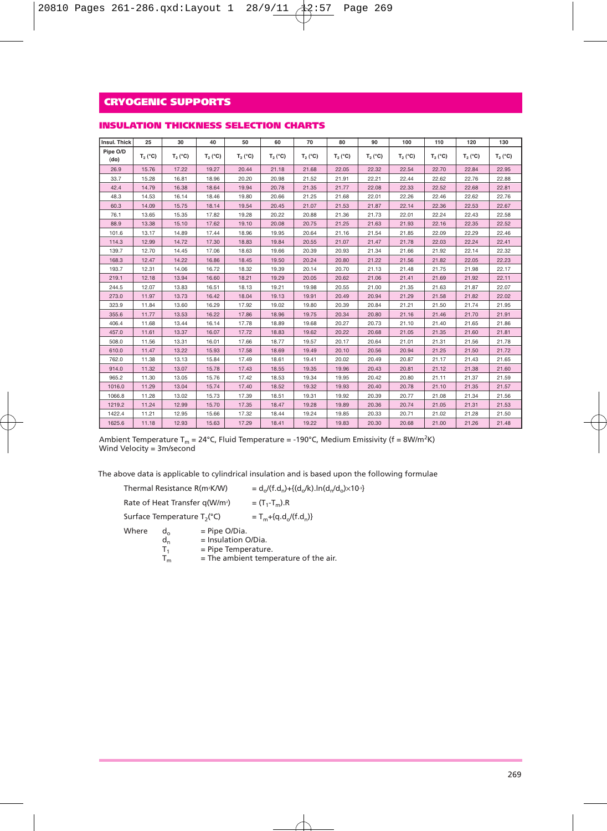| Insul. Thick     | 25         | 30         | 40         | 50         | 60         | 70         | 80         | 90         | 100        | 110        | 120        | 130        |
|------------------|------------|------------|------------|------------|------------|------------|------------|------------|------------|------------|------------|------------|
| Pipe O/D<br>(do) | $T_2 (°C)$ | $T_2 (°C)$ | $T_2 (°C)$ | $T_2 (°C)$ | $T_2 (°C)$ | $T_2 (°C)$ | $T_2 (°C)$ | $T_2 (°C)$ | $T_2 (°C)$ | $T_2 (°C)$ | $T_2 (°C)$ | $T_2 (°C)$ |
| 26.9             | 15.76      | 17.22      | 19.27      | 20.44      | 21.18      | 21.68      | 22.05      | 22.32      | 22.54      | 22.70      | 22.84      | 22.95      |
| 33.7             | 15.28      | 16.81      | 18.96      | 20.20      | 20.98      | 21.52      | 21.91      | 22.21      | 22.44      | 22.62      | 22.76      | 22.88      |
| 42.4             | 14.79      | 16.38      | 18.64      | 19.94      | 20.78      | 21.35      | 21.77      | 22.08      | 22.33      | 22.52      | 22.68      | 22.81      |
| 48.3             | 14.53      | 16.14      | 18.46      | 19.80      | 20.66      | 21.25      | 21.68      | 22.01      | 22.26      | 22.46      | 22.62      | 22.76      |
| 60.3             | 14.09      | 15.75      | 18.14      | 19.54      | 20.45      | 21.07      | 21.53      | 21.87      | 22.14      | 22.36      | 22.53      | 22.67      |
| 76.1             | 13.65      | 15.35      | 17.82      | 19.28      | 20.22      | 20.88      | 21.36      | 21.73      | 22.01      | 22.24      | 22.43      | 22.58      |
| 88.9             | 13.38      | 15.10      | 17.62      | 19.10      | 20.08      | 20.75      | 21.25      | 21.63      | 21.93      | 22.16      | 22.35      | 22.52      |
| 101.6            | 13.17      | 14.89      | 17.44      | 18.96      | 19.95      | 20.64      | 21.16      | 21.54      | 21.85      | 22.09      | 22.29      | 22.46      |
| 114.3            | 12.99      | 14.72      | 17.30      | 18.83      | 19.84      | 20.55      | 21.07      | 21.47      | 21.78      | 22.03      | 22.24      | 22.41      |
| 139.7            | 12.70      | 14.45      | 17.06      | 18.63      | 19.66      | 20.39      | 20.93      | 21.34      | 21.66      | 21.92      | 22.14      | 22.32      |
| 168.3            | 12.47      | 14.22      | 16.86      | 18.45      | 19.50      | 20.24      | 20.80      | 21.22      | 21.56      | 21.82      | 22.05      | 22.23      |
| 193.7            | 12.31      | 14.06      | 16.72      | 18.32      | 19.39      | 20.14      | 20.70      | 21.13      | 21.48      | 21.75      | 21.98      | 22.17      |
| 219.1            | 12.18      | 13.94      | 16.60      | 18.21      | 19.29      | 20.05      | 20.62      | 21.06      | 21.41      | 21.69      | 21.92      | 22.11      |
| 244.5            | 12.07      | 13.83      | 16.51      | 18.13      | 19.21      | 19.98      | 20.55      | 21.00      | 21.35      | 21.63      | 21.87      | 22.07      |
| 273.0            | 11.97      | 13.73      | 16.42      | 18.04      | 19.13      | 19.91      | 20.49      | 20.94      | 21.29      | 21.58      | 21.82      | 22.02      |
| 323.9            | 11.84      | 13.60      | 16.29      | 17.92      | 19.02      | 19.80      | 20.39      | 20.84      | 21.21      | 21.50      | 21.74      | 21.95      |
| 355.6            | 11.77      | 13.53      | 16.22      | 17.86      | 18.96      | 19.75      | 20.34      | 20.80      | 21.16      | 21.46      | 21.70      | 21.91      |
| 406.4            | 11.68      | 13.44      | 16.14      | 17.78      | 18.89      | 19.68      | 20.27      | 20.73      | 21.10      | 21.40      | 21.65      | 21.86      |
| 457.0            | 11.61      | 13.37      | 16.07      | 17.72      | 18.83      | 19.62      | 20.22      | 20.68      | 21.05      | 21.35      | 21.60      | 21.81      |
| 508.0            | 11.56      | 13.31      | 16.01      | 17.66      | 18.77      | 19.57      | 20.17      | 20.64      | 21.01      | 21.31      | 21.56      | 21.78      |
| 610.0            | 11.47      | 13.22      | 15.93      | 17.58      | 18.69      | 19.49      | 20.10      | 20.56      | 20.94      | 21.25      | 21.50      | 21.72      |
| 762.0            | 11.38      | 13.13      | 15.84      | 17.49      | 18.61      | 19.41      | 20.02      | 20.49      | 20.87      | 21.17      | 21.43      | 21.65      |
| 914.0            | 11.32      | 13.07      | 15.78      | 17.43      | 18.55      | 19.35      | 19.96      | 20.43      | 20.81      | 21.12      | 21.38      | 21.60      |
| 965.2            | 11.30      | 13.05      | 15.76      | 17.42      | 18.53      | 19.34      | 19.95      | 20.42      | 20.80      | 21.11      | 21.37      | 21.59      |
| 1016.0           | 11.29      | 13.04      | 15.74      | 17.40      | 18.52      | 19.32      | 19.93      | 20,40      | 20.78      | 21.10      | 21.35      | 21.57      |
| 1066.8           | 11.28      | 13.02      | 15.73      | 17.39      | 18.51      | 19.31      | 19.92      | 20.39      | 20.77      | 21.08      | 21.34      | 21.56      |
| 1219.2           | 11.24      | 12.99      | 15.70      | 17.35      | 18.47      | 19.28      | 19.89      | 20.36      | 20.74      | 21.05      | 21.31      | 21.53      |
| 1422.4           | 11.21      | 12.95      | 15.66      | 17.32      | 18.44      | 19.24      | 19.85      | 20.33      | 20.71      | 21.02      | 21.28      | 21.50      |
| 1625.6           | 11.18      | 12.93      | 15.63      | 17.29      | 18.41      | 19.22      | 19.83      | 20.30      | 20.68      | 21.00      | 21.26      | 21.48      |

#### **INSULATION THICKNESS SELECTION CHARTS**

Ambient Temperature T<sub>m</sub> = 24°C, Fluid Temperature = -190°C, Medium Emissivity (f = 8W/m<sup>2</sup>K)<br>Wind Velocity = 3m/second

The above data is applicable to cylindrical insulation and is based upon the following formulae

|       | Thermal Resistance R(m <sup>2</sup> K/W)      |                                                               | $=d_{\alpha}/(f.d_{\alpha})+\{(d_{\alpha}/k).ln(d_{\alpha}/d_{\alpha})\times10^{-3}\}$ |  |  |  |  |
|-------|-----------------------------------------------|---------------------------------------------------------------|----------------------------------------------------------------------------------------|--|--|--|--|
|       | Rate of Heat Transfer q(W/m <sup>2</sup> )    |                                                               | $=$ $(T_1 - T_m)$ .R                                                                   |  |  |  |  |
|       | Surface Temperature T <sub>2</sub> (°C)       |                                                               | $T_m + {q.d./(f.d_n)}$                                                                 |  |  |  |  |
| Where | $d_{\alpha}$<br>$d_n$<br>T1<br>T <sub>m</sub> | $=$ Pipe O/Dia.<br>= Insulation O/Dia.<br>= Pipe Temperature. | $=$ The ambient temperature of the air.                                                |  |  |  |  |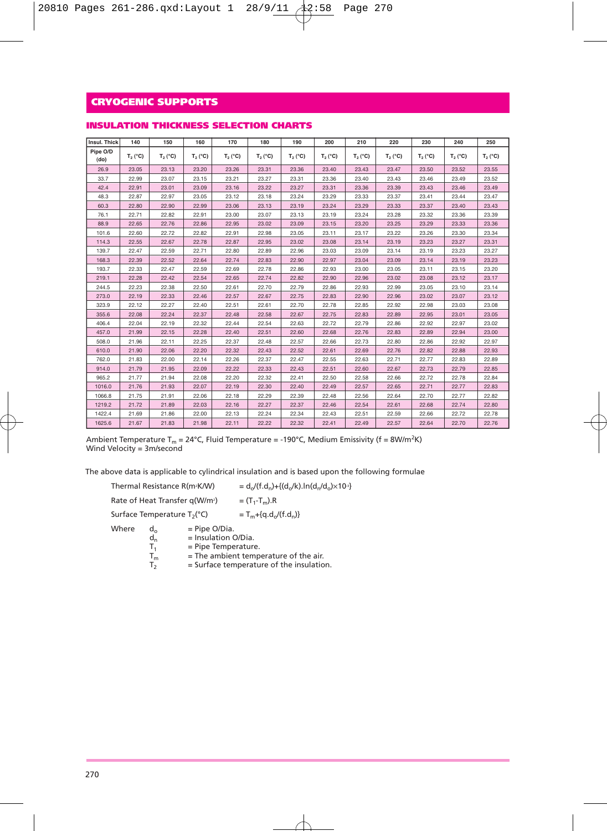| INSULATION THICKNESS SELECTION CHARTS |  |
|---------------------------------------|--|
|---------------------------------------|--|

| Insul. Thick     | 140        | 150              | 160              | 170        | 180        | 190              | 200        | 210              | 220        | 230        | 240        | 250        |
|------------------|------------|------------------|------------------|------------|------------|------------------|------------|------------------|------------|------------|------------|------------|
| Pipe O/D<br>(do) | $T_2 (°C)$ | $T_2(^{\circ}C)$ | $T_2(^{\circ}C)$ | $T_2 (°C)$ | $T_2 (°C)$ | $T_2(^{\circ}C)$ | $T_2 (°C)$ | $T_2(^{\circ}C)$ | $T_2 (°C)$ | $T_2 (°C)$ | $T_2 (°C)$ | $T_2 (°C)$ |
| 26.9             | 23.05      | 23.13            | 23.20            | 23.26      | 23.31      | 23.36            | 23.40      | 23.43            | 23.47      | 23.50      | 23.52      | 23.55      |
| 33.7             | 22.99      | 23.07            | 23.15            | 23.21      | 23.27      | 23.31            | 23.36      | 23.40            | 23.43      | 23.46      | 23.49      | 23.52      |
| 42.4             | 22.91      | 23.01            | 23.09            | 23.16      | 23.22      | 23.27            | 23.31      | 23.36            | 23.39      | 23.43      | 23.46      | 23.49      |
| 48.3             | 22.87      | 22.97            | 23.05            | 23.12      | 23.18      | 23.24            | 23.29      | 23.33            | 23.37      | 23.41      | 23.44      | 23.47      |
| 60.3             | 22.80      | 22.90            | 22.99            | 23.06      | 23.13      | 23.19            | 23.24      | 23.29            | 23.33      | 23.37      | 23.40      | 23.43      |
| 76.1             | 22.71      | 22.82            | 22.91            | 23.00      | 23.07      | 23.13            | 23.19      | 23.24            | 23.28      | 23.32      | 23.36      | 23.39      |
| 88.9             | 22.65      | 22.76            | 22.86            | 22.95      | 23.02      | 23.09            | 23.15      | 23.20            | 23.25      | 23.29      | 23.33      | 23.36      |
| 101.6            | 22.60      | 22.72            | 22.82            | 22.91      | 22.98      | 23.05            | 23.11      | 23.17            | 23.22      | 23.26      | 23.30      | 23.34      |
| 114.3            | 22.55      | 22.67            | 22.78            | 22.87      | 22.95      | 23.02            | 23.08      | 23.14            | 23.19      | 23.23      | 23.27      | 23.31      |
| 139.7            | 22.47      | 22.59            | 22.71            | 22.80      | 22.89      | 22.96            | 23.03      | 23.09            | 23.14      | 23.19      | 23.23      | 23.27      |
| 168.3            | 22.39      | 22.52            | 22.64            | 22.74      | 22.83      | 22.90            | 22.97      | 23.04            | 23.09      | 23.14      | 23.19      | 23.23      |
| 193.7            | 22.33      | 22.47            | 22.59            | 22.69      | 22.78      | 22.86            | 22.93      | 23.00            | 23.05      | 23.11      | 23.15      | 23.20      |
| 219.1            | 22.28      | 22.42            | 22.54            | 22.65      | 22.74      | 22.82            | 22.90      | 22.96            | 23.02      | 23.08      | 23.12      | 23.17      |
| 244.5            | 22.23      | 22.38            | 22.50            | 22.61      | 22.70      | 22.79            | 22.86      | 22.93            | 22.99      | 23.05      | 23.10      | 23.14      |
| 273.0            | 22.19      | 22.33            | 22.46            | 22.57      | 22.67      | 22.75            | 22.83      | 22.90            | 22.96      | 23.02      | 23.07      | 23.12      |
| 323.9            | 22.12      | 22.27            | 22.40            | 22.51      | 22.61      | 22.70            | 22.78      | 22.85            | 22.92      | 22.98      | 23.03      | 23.08      |
| 355.6            | 22.08      | 22.24            | 22.37            | 22.48      | 22.58      | 22.67            | 22.75      | 22.83            | 22.89      | 22.95      | 23.01      | 23.05      |
| 406.4            | 22.04      | 22.19            | 22.32            | 22.44      | 22.54      | 22.63            | 22.72      | 22.79            | 22.86      | 22.92      | 22.97      | 23.02      |
| 457.0            | 21.99      | 22.15            | 22.28            | 22.40      | 22.51      | 22.60            | 22.68      | 22.76            | 22.83      | 22.89      | 22.94      | 23.00      |
| 508.0            | 21.96      | 22.11            | 22.25            | 22.37      | 22.48      | 22.57            | 22.66      | 22.73            | 22.80      | 22.86      | 22.92      | 22.97      |
| 610.0            | 21.90      | 22.06            | 22.20            | 22.32      | 22.43      | 22.52            | 22.61      | 22.69            | 22.76      | 22.82      | 22.88      | 22.93      |
| 762.0            | 21.83      | 22.00            | 22.14            | 22.26      | 22.37      | 22.47            | 22.55      | 22.63            | 22.71      | 22.77      | 22.83      | 22.89      |
| 914.0            | 21.79      | 21.95            | 22.09            | 22.22      | 22.33      | 22.43            | 22.51      | 22.60            | 22.67      | 22.73      | 22.79      | 22.85      |
| 965.2            | 21.77      | 21.94            | 22.08            | 22.20      | 22.32      | 22.41            | 22.50      | 22.58            | 22.66      | 22.72      | 22.78      | 22.84      |
| 1016.0           | 21.76      | 21.93            | 22.07            | 22.19      | 22.30      | 22.40            | 22.49      | 22.57            | 22.65      | 22.71      | 22.77      | 22.83      |
| 1066.8           | 21.75      | 21.91            | 22.06            | 22.18      | 22.29      | 22.39            | 22.48      | 22.56            | 22.64      | 22.70      | 22.77      | 22.82      |
| 1219.2           | 21.72      | 21.89            | 22.03            | 22.16      | 22.27      | 22.37            | 22.46      | 22.54            | 22.61      | 22.68      | 22.74      | 22.80      |
| 1422.4           | 21.69      | 21.86            | 22.00            | 22.13      | 22.24      | 22.34            | 22.43      | 22.51            | 22.59      | 22.66      | 22.72      | 22.78      |
| 1625.6           | 21.67      | 21.83            | 21.98            | 22.11      | 22.22      | 22.32            | 22.41      | 22.49            | 22.57      | 22.64      | 22.70      | 22.76      |

Ambient Temperature T<sub>m</sub> = 24°C, Fluid Temperature = -190°C, Medium Emissivity (f = 8W/m<sup>2</sup>K)<br>Wind Velocity = 3m/second

The above data is applicable to cylindrical insulation and is based upon the following formulae

|       | Thermal Resistance R(m <sup>2</sup> K/W)   |                                                                 | = $d_o/(f.d_o)+{(d_o/k)}.ln(d_o/d_o) \times 10^{3}$                               |  |  |  |  |
|-------|--------------------------------------------|-----------------------------------------------------------------|-----------------------------------------------------------------------------------|--|--|--|--|
|       | Rate of Heat Transfer q(W/m <sup>2</sup> ) |                                                                 | $=$ $(T_1 - T_m)$ .R                                                              |  |  |  |  |
|       | Surface Temperature T <sub>2</sub> (°C)    |                                                                 | $T_m + {q.d.}/(f.d_n)$                                                            |  |  |  |  |
| Where | d,<br>$d_n$<br>$T_{1}$<br>$T_m$<br>т,      | $=$ Pipe O/Dia.<br>$=$ Insulation O/Dia.<br>= Pipe Temperature. | = The ambient temperature of the air.<br>= Surface temperature of the insulation. |  |  |  |  |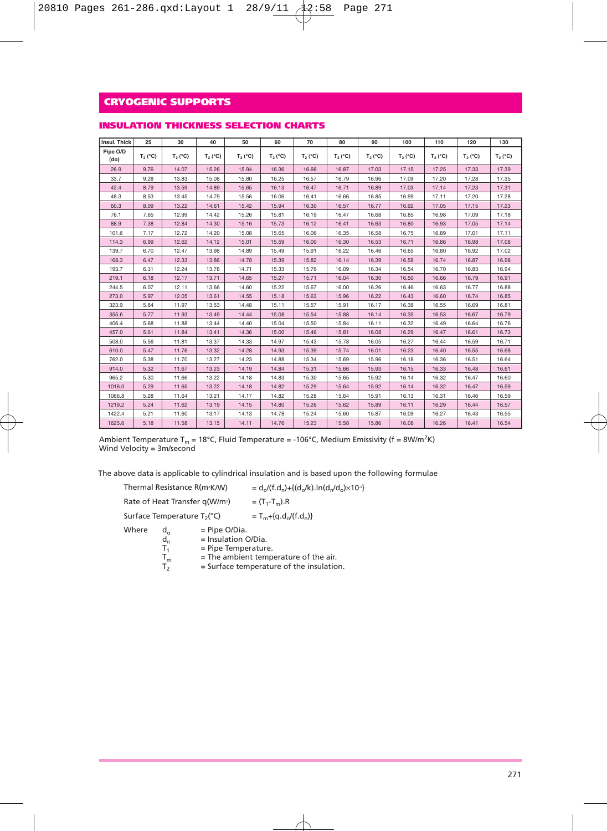| Insul. Thick     | 25         | 30         | 40         | 50         | 60         | 70               | 80         | 90         | 100        | 110        | 120        | 130        |
|------------------|------------|------------|------------|------------|------------|------------------|------------|------------|------------|------------|------------|------------|
| Pipe O/D<br>(do) | $T_2 (°C)$ | $T_2 (°C)$ | $T_2 (°C)$ | $T_2 (°C)$ | $T_2 (°C)$ | $T_2(^{\circ}C)$ | $T_2 (°C)$ | $T_2 (°C)$ | $T_2 (°C)$ | $T_2 (°C)$ | $T_2 (°C)$ | $T_2 (°C)$ |
| 26.9             | 9.76       | 14.07      | 15.26      | 15.94      | 16.36      | 16.66            | 16.87      | 17.03      | 17.15      | 17.25      | 17.33      | 17.39      |
| 33.7             | 9.28       | 13.83      | 15.08      | 15.80      | 16.25      | 16.57            | 16.79      | 16.96      | 17.09      | 17.20      | 17.28      | 17.35      |
| 42.4             | 8.79       | 13.59      | 14.89      | 15.65      | 16.13      | 16.47            | 16.71      | 16.89      | 17.03      | 17.14      | 17.23      | 17.31      |
| 48.3             | 8.53       | 13.45      | 14.79      | 15.56      | 16.06      | 16.41            | 16.66      | 16.85      | 16.99      | 17.11      | 17.20      | 17.28      |
| 60.3             | 8.09       | 13.22      | 14.61      | 15.42      | 15.94      | 16.30            | 16.57      | 16.77      | 16.92      | 17.05      | 17.15      | 17.23      |
| 76.1             | 7.65       | 12.99      | 14.42      | 15.26      | 15.81      | 16.19            | 16.47      | 16.68      | 16.85      | 16.98      | 17.09      | 17.18      |
| 88.9             | 7.38       | 12.84      | 14.30      | 15.16      | 15.73      | 16.12            | 16.41      | 16.63      | 16,80      | 16.93      | 17.05      | 17.14      |
| 101.6            | 7.17       | 12.72      | 14.20      | 15.08      | 15.65      | 16.06            | 16.35      | 16.58      | 16.75      | 16.89      | 17.01      | 17.11      |
| 114.3            | 6.99       | 12.62      | 14.12      | 15.01      | 15.59      | 16.00            | 16.30      | 16.53      | 16.71      | 16.86      | 16.98      | 17.08      |
| 139.7            | 6.70       | 12.47      | 13.98      | 14.89      | 15.49      | 15.91            | 16.22      | 16.46      | 16.65      | 16.80      | 16.92      | 17.02      |
| 168.3            | 6.47       | 12.33      | 13.86      | 14.78      | 15.39      | 15.82            | 16.14      | 16.39      | 16.58      | 16.74      | 16.87      | 16.98      |
| 193.7            | 6.31       | 12.24      | 13.78      | 14.71      | 15.33      | 15.76            | 16.09      | 16.34      | 16.54      | 16.70      | 16.83      | 16.94      |
| 219.1            | 6.18       | 12.17      | 13.71      | 14.65      | 15.27      | 15.71            | 16.04      | 16.30      | 16.50      | 16.66      | 16.79      | 16.91      |
| 244.5            | 6.07       | 12.11      | 13.66      | 14.60      | 15.22      | 15.67            | 16.00      | 16.26      | 16.46      | 16.63      | 16.77      | 16.88      |
| 273.0            | 5.97       | 12.05      | 13.61      | 14.55      | 15.18      | 15.63            | 15.96      | 16.22      | 16.43      | 16.60      | 16.74      | 16.85      |
| 323.9            | 5.84       | 11.97      | 13.53      | 14.48      | 15.11      | 15.57            | 15.91      | 16.17      | 16.38      | 16.55      | 16.69      | 16.81      |
| 355.6            | 5.77       | 11.93      | 13.49      | 14.44      | 15.08      | 15.54            | 15.88      | 16.14      | 16.35      | 16.53      | 16.67      | 16.79      |
| 406.4            | 5.68       | 11.88      | 13.44      | 14.40      | 15.04      | 15.50            | 15.84      | 16.11      | 16.32      | 16.49      | 16.64      | 16.76      |
| 457.0            | 5.61       | 11.84      | 13.41      | 14.36      | 15.00      | 15.46            | 15.81      | 16.08      | 16.29      | 16.47      | 16.61      | 16.73      |
| 508.0            | 5.56       | 11.81      | 13.37      | 14.33      | 14.97      | 15.43            | 15.78      | 16.05      | 16.27      | 16.44      | 16.59      | 16.71      |
| 610.0            | 5.47       | 11.76      | 13.32      | 14.28      | 14.93      | 15.39            | 15.74      | 16.01      | 16.23      | 16.40      | 16.55      | 16.68      |
| 762.0            | 5.38       | 11.70      | 13.27      | 14.23      | 14.88      | 15.34            | 15.69      | 15,96      | 16.18      | 16.36      | 16.51      | 16.64      |
| 914.0            | 5.32       | 11.67      | 13.23      | 14.19      | 14.84      | 15.31            | 15.66      | 15.93      | 16.15      | 16.33      | 16.48      | 16.61      |
| 965.2            | 5.30       | 11.66      | 13.22      | 14.18      | 14.83      | 15.30            | 15.65      | 15.92      | 16.14      | 16.32      | 16.47      | 16.60      |
| 1016.0           | 5.29       | 11.65      | 13.22      | 14.18      | 14.82      | 15.29            | 15.64      | 15.92      | 16.14      | 16.32      | 16.47      | 16.59      |
| 1066.8           | 5.28       | 11.64      | 13.21      | 14.17      | 14.82      | 15.28            | 15.64      | 15,91      | 16.13      | 16.31      | 16.46      | 16.59      |
| 1219.2           | 5.24       | 11.62      | 13.19      | 14.15      | 14.80      | 15.26            | 15.62      | 15.89      | 16.11      | 16.29      | 16.44      | 16.57      |
| 1422.4           | 5.21       | 11.60      | 13.17      | 14.13      | 14.78      | 15.24            | 15.60      | 15.87      | 16.09      | 16.27      | 16.43      | 16.55      |
| 1625.6           | 5.18       | 11.58      | 13.15      | 14.11      | 14.76      | 15.23            | 15.58      | 15.86      | 16.08      | 16.26      | 16.41      | 16.54      |

#### **INSULATION THICKNESS SELECTION CHARTS**

Ambient Temperature T<sub>m</sub> = 18°C, Fluid Temperature = -106°C, Medium Emissivity (f = 8W/m<sup>2</sup>K)<br>Wind Velocity = 3m/second

The above data is applicable to cylindrical insulation and is based upon the following formulae

|                                         |                             | Thermal Resistance R(m <sup>2</sup> K/W)                        | $=d_{o}/(f.d_{o})+{(d_{o}/k)}.ln(d_{o}/d_{o})\times10^{3}$ |  |  |  |  |
|-----------------------------------------|-----------------------------|-----------------------------------------------------------------|------------------------------------------------------------|--|--|--|--|
|                                         |                             | Rate of Heat Transfer q(W/m <sup>2</sup> )                      | $=$ $(T_1 - T_m)$ .R                                       |  |  |  |  |
| Surface Temperature T <sub>2</sub> (°C) |                             |                                                                 | $T_{m} + {q.d.}/(f.d_n)$                                   |  |  |  |  |
| Where                                   | $d_{\alpha}$<br>$d_n$<br>т. | $=$ Pipe O/Dia.<br>$=$ Insulation O/Dia.<br>= Pipe Temperature. | $=$ The ambient temperature of the air                     |  |  |  |  |

 $T_m$  = The ambient temperature of the air.<br> $T_2$  = Surface temperature of the insulation.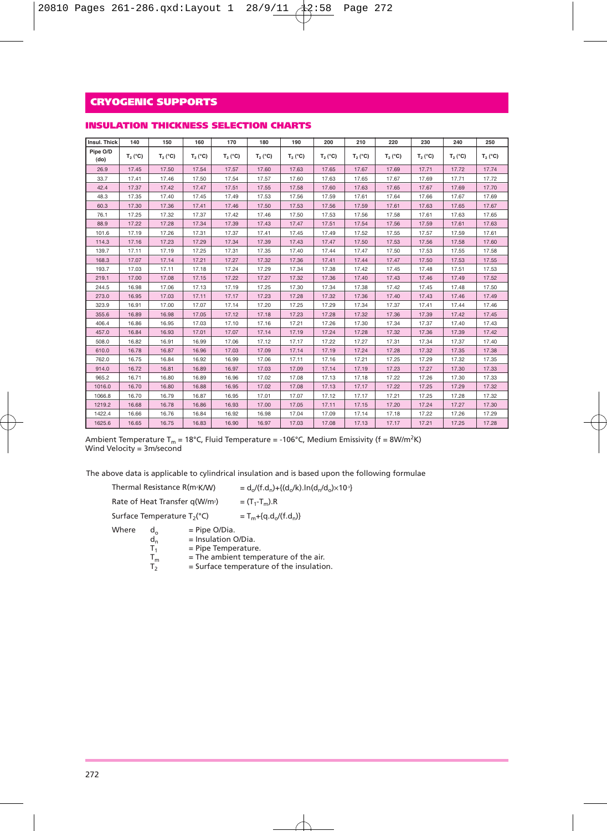### **INSULATION THICKNESS SELECTION CHARTS**

| Insul, Thick     | 140        | 150        | 160        | 170        | 180        | 190        | 200        | 210        | 220        | 230        | 240        | 250        |
|------------------|------------|------------|------------|------------|------------|------------|------------|------------|------------|------------|------------|------------|
| Pipe O/D<br>(do) | $T_2 (°C)$ | $T_2 (°C)$ | $T_2 (°C)$ | $T_2 (°C)$ | $T_2 (°C)$ | $T_2 (°C)$ | $T_2 (°C)$ | $T_2 (°C)$ | $T_2 (°C)$ | $T_2 (°C)$ | $T_2 (°C)$ | $T_2 (°C)$ |
| 26.9             | 17.45      | 17.50      | 17.54      | 17.57      | 17.60      | 17.63      | 17.65      | 17.67      | 17.69      | 17.71      | 17.72      | 17.74      |
| 33.7             | 17.41      | 17.46      | 17.50      | 17.54      | 17.57      | 17.60      | 17.63      | 17.65      | 17.67      | 17.69      | 17.71      | 17.72      |
| 42.4             | 17.37      | 17.42      | 17.47      | 17.51      | 17.55      | 17.58      | 17.60      | 17.63      | 17.65      | 17.67      | 17.69      | 17.70      |
| 48.3             | 17.35      | 17.40      | 17.45      | 17.49      | 17.53      | 17.56      | 17.59      | 17.61      | 17.64      | 17.66      | 17.67      | 17.69      |
| 60.3             | 17.30      | 17.36      | 17.41      | 17.46      | 17.50      | 17.53      | 17.56      | 17.59      | 17.61      | 17.63      | 17.65      | 17.67      |
| 76.1             | 17.25      | 17.32      | 17.37      | 17.42      | 17.46      | 17.50      | 17.53      | 17.56      | 17.58      | 17.61      | 17.63      | 17.65      |
| 88.9             | 17.22      | 17.28      | 17.34      | 17.39      | 17.43      | 17.47      | 17.51      | 17.54      | 17.56      | 17.59      | 17.61      | 17.63      |
| 101.6            | 17.19      | 17.26      | 17.31      | 17.37      | 17.41      | 17.45      | 17.49      | 17.52      | 17.55      | 17.57      | 17.59      | 17.61      |
| 114.3            | 17.16      | 17.23      | 17.29      | 17.34      | 17.39      | 17.43      | 17.47      | 17.50      | 17.53      | 17.56      | 17.58      | 17.60      |
| 139.7            | 17.11      | 17.19      | 17.25      | 17.31      | 17.35      | 17.40      | 17.44      | 17.47      | 17.50      | 17.53      | 17.55      | 17.58      |
| 168.3            | 17.07      | 17.14      | 17.21      | 17.27      | 17.32      | 17.36      | 17.41      | 17.44      | 17.47      | 17.50      | 17.53      | 17.55      |
| 193.7            | 17.03      | 17.11      | 17.18      | 17.24      | 17.29      | 17.34      | 17.38      | 17.42      | 17.45      | 17.48      | 17.51      | 17.53      |
| 219.1            | 17.00      | 17.08      | 17.15      | 17.22      | 17.27      | 17.32      | 17.36      | 17.40      | 17.43      | 17.46      | 17.49      | 17.52      |
| 244.5            | 16.98      | 17.06      | 17.13      | 17.19      | 17.25      | 17.30      | 17.34      | 17.38      | 17.42      | 17.45      | 17.48      | 17.50      |
| 273.0            | 16.95      | 17.03      | 17.11      | 17.17      | 17.23      | 17.28      | 17.32      | 17.36      | 17.40      | 17.43      | 17.46      | 17.49      |
| 323.9            | 16.91      | 17.00      | 17.07      | 17.14      | 17.20      | 17.25      | 17.29      | 17.34      | 17.37      | 17.41      | 17.44      | 17.46      |
| 355.6            | 16.89      | 16.98      | 17.05      | 17.12      | 17.18      | 17.23      | 17.28      | 17.32      | 17.36      | 17.39      | 17.42      | 17.45      |
| 406.4            | 16,86      | 16.95      | 17.03      | 17.10      | 17.16      | 17.21      | 17.26      | 17.30      | 17.34      | 17.37      | 17.40      | 17.43      |
| 457.0            | 16.84      | 16.93      | 17.01      | 17.07      | 17.14      | 17.19      | 17.24      | 17.28      | 17.32      | 17.36      | 17.39      | 17.42      |
| 508.0            | 16.82      | 16.91      | 16.99      | 17.06      | 17.12      | 17.17      | 17.22      | 17.27      | 17.31      | 17.34      | 17.37      | 17.40      |
| 610.0            | 16.78      | 16.87      | 16.96      | 17.03      | 17.09      | 17.14      | 17.19      | 17.24      | 17.28      | 17.32      | 17.35      | 17.38      |
| 762.0            | 16.75      | 16.84      | 16.92      | 16.99      | 17.06      | 17.11      | 17.16      | 17.21      | 17.25      | 17.29      | 17.32      | 17.35      |
| 914.0            | 16.72      | 16.81      | 16.89      | 16.97      | 17.03      | 17.09      | 17.14      | 17.19      | 17.23      | 17.27      | 17.30      | 17.33      |
| 965.2            | 16.71      | 16.80      | 16.89      | 16.96      | 17.02      | 17.08      | 17.13      | 17.18      | 17.22      | 17.26      | 17.30      | 17.33      |
| 1016.0           | 16.70      | 16.80      | 16.88      | 16.95      | 17.02      | 17.08      | 17.13      | 17.17      | 17.22      | 17.25      | 17.29      | 17.32      |
| 1066.8           | 16.70      | 16.79      | 16.87      | 16.95      | 17.01      | 17.07      | 17.12      | 17.17      | 17.21      | 17.25      | 17.28      | 17.32      |
| 1219.2           | 16.68      | 16.78      | 16.86      | 16.93      | 17.00      | 17.05      | 17.11      | 17.15      | 17.20      | 17.24      | 17.27      | 17.30      |
| 1422.4           | 16.66      | 16.76      | 16.84      | 16.92      | 16.98      | 17.04      | 17.09      | 17.14      | 17.18      | 17.22      | 17.26      | 17.29      |
| 1625.6           | 16.65      | 16.75      | 16.83      | 16.90      | 16.97      | 17.03      | 17.08      | 17.13      | 17.17      | 17.21      | 17.25      | 17.28      |

Ambient Temperature T<sub>m</sub> = 18°C, Fluid Temperature = -106°C, Medium Emissivity (f = 8W/m<sup>2</sup>K) Wind Velocity = 3m/second

The above data is applicable to cylindrical insulation and is based upon the following formulae

|       | Thermal Resistance R(m <sup>2</sup> K/W)   |                                                                   | $=d_o/(f.d_o)+{(d_o/k)}.ln(d_o/d_o) \times 10^{3}$ |  |  |  |  |
|-------|--------------------------------------------|-------------------------------------------------------------------|----------------------------------------------------|--|--|--|--|
|       | Rate of Heat Transfer q(W/m <sup>2</sup> ) |                                                                   | $=$ $(T_1-T_m)$ .R                                 |  |  |  |  |
|       | Surface Temperature T <sub>2</sub> (°C)    |                                                                   | $T_{m} + {q.d_{n}/(f.d_{n})}$                      |  |  |  |  |
| Where | $d_{\alpha}$<br>$d_n$<br>т.                | $=$ Pipe O/Dia.<br>$=$ Insulation O/Dia.<br>$=$ Pipe Temperature. | = The ambient temperature of the air.              |  |  |  |  |

 $T_m$  = The ambient temperature of the air.<br> $T_2$  = Surface temperature of the insulation.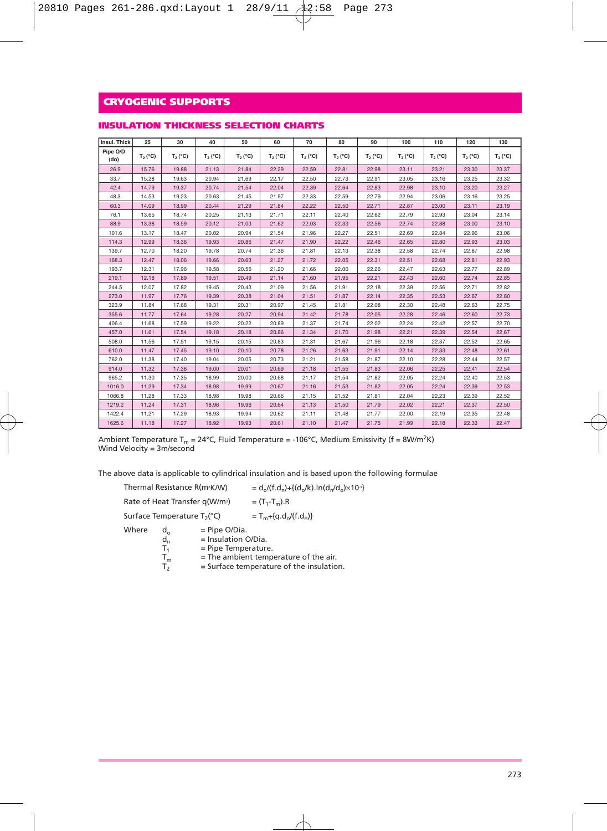| Insul, Thick     | 25         | 30         | 40         | 50         | 60         | 70         | 80         | 90         | 100        | 110        | 120        | 130        |
|------------------|------------|------------|------------|------------|------------|------------|------------|------------|------------|------------|------------|------------|
| Pipe O/D<br>(do) | $T_2 (°C)$ | $T_2 (°C)$ | $T_2 (°C)$ | $T_2 (°C)$ | $T_2 (°C)$ | $T_2 (°C)$ | $T_2 (°C)$ | $T_2 (°C)$ | $T_2 (°C)$ | $T_2 (°C)$ | $T_2 (°C)$ | $T_2 (°C)$ |
| 26.9             | 15.76      | 19.88      | 21.13      | 21.84      | 22.29      | 22.59      | 22.81      | 22.98      | 23.11      | 23.21      | 23.30      | 23.37      |
| 33.7             | 15.28      | 19.63      | 20.94      | 21.69      | 22.17      | 22.50      | 22.73      | 22.91      | 23.05      | 23.16      | 23.25      | 23.32      |
| 42.4             | 14.79      | 19.37      | 20.74      | 21.54      | 22.04      | 22.39      | 22.64      | 22.83      | 22.98      | 23.10      | 23.20      | 23.27      |
| 48.3             | 14.53      | 19.23      | 20.63      | 21.45      | 21.97      | 22.33      | 22.59      | 22.79      | 22.94      | 23.06      | 23.16      | 23.25      |
| 60.3             | 14.09      | 18.99      | 20.44      | 21.29      | 21.84      | 22.22      | 22.50      | 22.71      | 22.87      | 23.00      | 23.11      | 23.19      |
| 76.1             | 13.65      | 18.74      | 20.25      | 21.13      | 21.71      | 22.11      | 22.40      | 22.62      | 22.79      | 22.93      | 23.04      | 23.14      |
| 88.9             | 13.38      | 18.59      | 20.12      | 21.03      | 21.62      | 22.03      | 22.33      | 22.56      | 22.74      | 22.88      | 23.00      | 23.10      |
| 101.6            | 13.17      | 18.47      | 20.02      | 20.94      | 21.54      | 21.96      | 22.27      | 22.51      | 22.69      | 22.84      | 22.96      | 23.06      |
| 114.3            | 12.99      | 18.36      | 19.93      | 20.86      | 21.47      | 21.90      | 22.22      | 22.46      | 22.65      | 22.80      | 22.93      | 23.03      |
| 139.7            | 12.70      | 18.20      | 19.78      | 20.74      | 21.36      | 21.81      | 22.13      | 22.38      | 22.58      | 22.74      | 22.87      | 22.98      |
| 168.3            | 12.47      | 18.06      | 19.66      | 20.63      | 21.27      | 21.72      | 22.05      | 22.31      | 22.51      | 22.68      | 22.81      | 22.93      |
| 193.7            | 12.31      | 17.96      | 19.58      | 20.55      | 21.20      | 21.66      | 22.00      | 22.26      | 22.47      | 22.63      | 22.77      | 22.89      |
| 219.1            | 12.18      | 17.89      | 19.51      | 20.49      | 21.14      | 21.60      | 21.95      | 22.21      | 22.43      | 22.60      | 22.74      | 22.85      |
| 244.5            | 12.07      | 17.82      | 19.45      | 20.43      | 21.09      | 21.56      | 21.91      | 22.18      | 22.39      | 22.56      | 22.71      | 22.82      |
| 273.0            | 11.97      | 17.76      | 19.39      | 20.38      | 21.04      | 21.51      | 21.87      | 22.14      | 22.35      | 22.53      | 22.67      | 22.80      |
| 323.9            | 11.84      | 17.68      | 19.31      | 20.31      | 20.97      | 21.45      | 21.81      | 22.08      | 22.30      | 22.48      | 22.63      | 22.75      |
| 355.6            | 11.77      | 17.64      | 19.28      | 20.27      | 20.94      | 21.42      | 21.78      | 22.05      | 22.28      | 22.46      | 22.60      | 22.73      |
| 406.4            | 11.68      | 17.59      | 19.22      | 20.22      | 20.89      | 21.37      | 21.74      | 22.02      | 22.24      | 22.42      | 22.57      | 22.70      |
| 457.0            | 11.61      | 17.54      | 19.18      | 20.18      | 20.86      | 21.34      | 21.70      | 21.98      | 22.21      | 22.39      | 22.54      | 22.67      |
| 508.0            | 11.56      | 17.51      | 19.15      | 20.15      | 20.83      | 21.31      | 21.67      | 21.96      | 22.18      | 22.37      | 22.52      | 22.65      |
| 610.0            | 11.47      | 17.45      | 19.10      | 20.10      | 20.78      | 21.26      | 21.63      | 21.91      | 22.14      | 22.33      | 22.48      | 22.61      |
| 762.0            | 11.38      | 17.40      | 19.04      | 20.05      | 20.73      | 21.21      | 21.58      | 21.87      | 22.10      | 22.28      | 22.44      | 22.57      |
| 914.0            | 11.32      | 17.36      | 19.00      | 20.01      | 20.69      | 21.18      | 21.55      | 21.83      | 22.06      | 22.25      | 22.41      | 22.54      |
| 965.2            | 11.30      | 17.35      | 18.99      | 20.00      | 20.68      | 21.17      | 21.54      | 21.82      | 22.05      | 22.24      | 22.40      | 22.53      |
| 1016.0           | 11.29      | 17.34      | 18.98      | 19.99      | 20.67      | 21.16      | 21.53      | 21.82      | 22.05      | 22.24      | 22.39      | 22.53      |
| 1066.8           | 11.28      | 17.33      | 18.98      | 19.98      | 20.66      | 21.15      | 21.52      | 21.81      | 22.04      | 22.23      | 22.39      | 22.52      |
| 1219.2           | 11.24      | 17.31      | 18.96      | 19.96      | 20.64      | 21.13      | 21.50      | 21.79      | 22.02      | 22.21      | 22.37      | 22.50      |
| 1422.4           | 11.21      | 17.29      | 18.93      | 19.94      | 20.62      | 21.11      | 21.48      | 21.77      | 22.00      | 22.19      | 22.35      | 22.48      |
| 1625.6           | 11.18      | 17.27      | 18.92      | 19.93      | 20.61      | 21.10      | 21.47      | 21.75      | 21.99      | 22.18      | 22.33      | 22.47      |

#### **INSULATION THICKNESS SELECTION CHARTS**

Ambient Temperature T<sub>m</sub> = 24°C, Fluid Temperature = -106°C, Medium Emissivity (f = 8W/m<sup>2</sup>K) Wind Velocity = 3m/second

The above data is applicable to cylindrical insulation and is based upon the following formulae

|       | Thermal Resistance R(m <sup>2</sup> K/W)   |                                                                 | $=d_{o}/(f.d_{o})+\{(d_{o}/k).ln(d_{o}/d_{o})\times10^{3}\}$ |
|-------|--------------------------------------------|-----------------------------------------------------------------|--------------------------------------------------------------|
|       | Rate of Heat Transfer q(W/m <sup>2</sup> ) |                                                                 | $=$ $(T_1 - T_m)$ .R                                         |
|       | Surface Temperature T <sub>2</sub> (°C)    |                                                                 | $T_{m} + {q.d.}/(f.d_n)$                                     |
| Where | $d_{\alpha}$<br>$d_n$<br>т.                | $=$ Pipe O/Dia.<br>$=$ Insulation O/Dia.<br>= Pipe Temperature. | $=$ The ambient temperature of the air.                      |

 $T_m$  = The ambient temperature of the air.<br> $T_2$  = Surface temperature of the insulation.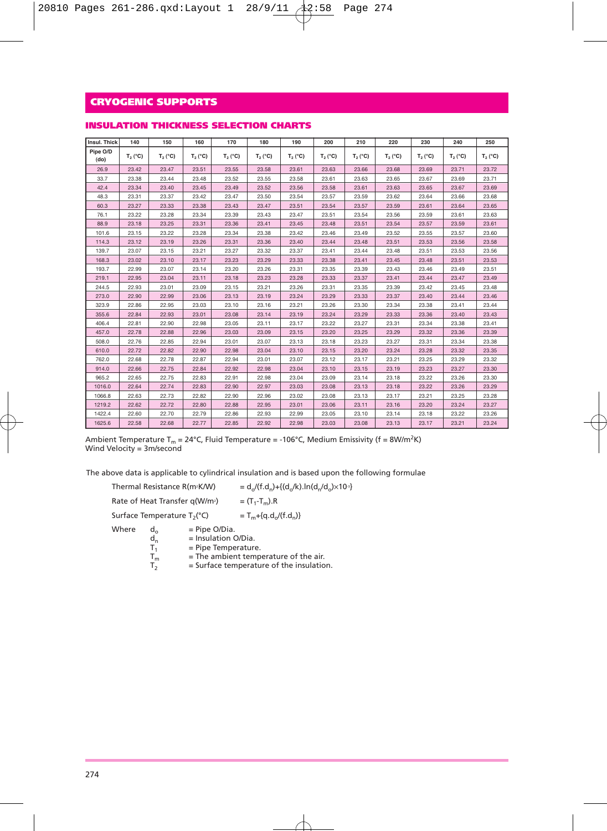| INSULATION THICKNESS SELECTION CHARTS |  |  |  |
|---------------------------------------|--|--|--|
|---------------------------------------|--|--|--|

| Insul. Thick     | 140        | 150        | 160        | 170        | 180        | 190        | 200        | 210        | 220        | 230        | 240        | 250        |
|------------------|------------|------------|------------|------------|------------|------------|------------|------------|------------|------------|------------|------------|
| Pipe O/D<br>(do) | $T_2 (°C)$ | $T_2 (°C)$ | $T_2 (°C)$ | $T_2 (°C)$ | $T_2 (°C)$ | $T_2 (°C)$ | $T_2 (°C)$ | $T_2 (°C)$ | $T_2 (°C)$ | $T_2 (°C)$ | $T_2 (°C)$ | $T_2 (°C)$ |
| 26.9             | 23.42      | 23.47      | 23.51      | 23.55      | 23.58      | 23.61      | 23.63      | 23.66      | 23.68      | 23.69      | 23.71      | 23.72      |
| 33.7             | 23.38      | 23.44      | 23.48      | 23.52      | 23.55      | 23.58      | 23.61      | 23.63      | 23.65      | 23.67      | 23.69      | 23.71      |
| 42.4             | 23.34      | 23.40      | 23.45      | 23.49      | 23.52      | 23.56      | 23.58      | 23.61      | 23.63      | 23.65      | 23.67      | 23.69      |
| 48.3             | 23.31      | 23.37      | 23.42      | 23.47      | 23.50      | 23.54      | 23.57      | 23.59      | 23.62      | 23.64      | 23.66      | 23.68      |
| 60.3             | 23.27      | 23.33      | 23.38      | 23.43      | 23.47      | 23.51      | 23.54      | 23.57      | 23.59      | 23.61      | 23.64      | 23.65      |
| 76.1             | 23.22      | 23.28      | 23.34      | 23.39      | 23.43      | 23.47      | 23.51      | 23.54      | 23.56      | 23.59      | 23.61      | 23.63      |
| 88.9             | 23.18      | 23.25      | 23.31      | 23.36      | 23.41      | 23.45      | 23.48      | 23.51      | 23.54      | 23.57      | 23.59      | 23.61      |
| 101.6            | 23.15      | 23.22      | 23.28      | 23.34      | 23.38      | 23.42      | 23.46      | 23.49      | 23.52      | 23.55      | 23.57      | 23.60      |
| 114.3            | 23.12      | 23.19      | 23.26      | 23.31      | 23.36      | 23.40      | 23.44      | 23.48      | 23.51      | 23.53      | 23.56      | 23.58      |
| 139.7            | 23.07      | 23.15      | 23.21      | 23.27      | 23.32      | 23.37      | 23.41      | 23.44      | 23.48      | 23.51      | 23.53      | 23.56      |
| 168.3            | 23.02      | 23.10      | 23.17      | 23.23      | 23.29      | 23.33      | 23.38      | 23.41      | 23.45      | 23.48      | 23.51      | 23.53      |
| 193.7            | 22.99      | 23.07      | 23.14      | 23.20      | 23.26      | 23.31      | 23.35      | 23.39      | 23.43      | 23.46      | 23.49      | 23.51      |
| 219.1            | 22.95      | 23.04      | 23.11      | 23.18      | 23.23      | 23.28      | 23.33      | 23.37      | 23.41      | 23.44      | 23.47      | 23.49      |
| 244.5            | 22.93      | 23.01      | 23.09      | 23.15      | 23.21      | 23.26      | 23.31      | 23.35      | 23.39      | 23.42      | 23.45      | 23.48      |
| 273.0            | 22.90      | 22.99      | 23.06      | 23.13      | 23.19      | 23.24      | 23.29      | 23.33      | 23.37      | 23.40      | 23.44      | 23.46      |
| 323.9            | 22.86      | 22.95      | 23.03      | 23.10      | 23.16      | 23.21      | 23.26      | 23.30      | 23.34      | 23.38      | 23.41      | 23.44      |
| 355.6            | 22.84      | 22.93      | 23.01      | 23.08      | 23.14      | 23.19      | 23.24      | 23.29      | 23.33      | 23.36      | 23.40      | 23.43      |
| 406.4            | 22.81      | 22.90      | 22.98      | 23.05      | 23.11      | 23.17      | 23.22      | 23.27      | 23.31      | 23.34      | 23.38      | 23.41      |
| 457.0            | 22.78      | 22.88      | 22.96      | 23.03      | 23.09      | 23.15      | 23.20      | 23.25      | 23.29      | 23.32      | 23.36      | 23.39      |
| 508.0            | 22.76      | 22.85      | 22.94      | 23.01      | 23.07      | 23.13      | 23.18      | 23.23      | 23.27      | 23.31      | 23.34      | 23.38      |
| 610.0            | 22.72      | 22.82      | 22.90      | 22.98      | 23.04      | 23.10      | 23.15      | 23.20      | 23.24      | 23.28      | 23.32      | 23.35      |
| 762.0            | 22.68      | 22.78      | 22.87      | 22.94      | 23.01      | 23.07      | 23.12      | 23.17      | 23.21      | 23.25      | 23.29      | 23.32      |
| 914.0            | 22.66      | 22.75      | 22.84      | 22.92      | 22.98      | 23.04      | 23.10      | 23.15      | 23.19      | 23.23      | 23.27      | 23.30      |
| 965.2            | 22.65      | 22.75      | 22.83      | 22.91      | 22.98      | 23.04      | 23.09      | 23.14      | 23.18      | 23.22      | 23.26      | 23.30      |
| 1016.0           | 22.64      | 22.74      | 22.83      | 22.90      | 22.97      | 23.03      | 23.08      | 23.13      | 23.18      | 23.22      | 23.26      | 23.29      |
| 1066.8           | 22.63      | 22.73      | 22.82      | 22.90      | 22.96      | 23.02      | 23.08      | 23.13      | 23.17      | 23.21      | 23.25      | 23.28      |
| 1219.2           | 22.62      | 22.72      | 22.80      | 22.88      | 22.95      | 23.01      | 23.06      | 23.11      | 23.16      | 23.20      | 23.24      | 23.27      |
| 1422.4           | 22.60      | 22.70      | 22.79      | 22.86      | 22.93      | 22.99      | 23.05      | 23.10      | 23.14      | 23.18      | 23.22      | 23.26      |
| 1625.6           | 22.58      | 22.68      | 22.77      | 22.85      | 22.92      | 22.98      | 23.03      | 23.08      | 23.13      | 23.17      | 23.21      | 23.24      |

Ambient Temperature T<sub>m</sub> = 24°C, Fluid Temperature = -106°C, Medium Emissivity (f = 8W/m<sup>2</sup>K) Wind Velocity = 3m/second

The above data is applicable to cylindrical insulation and is based upon the following formulae

|       | Thermal Resistance R(m <sup>2</sup> K/W)   |                                                                 | = $d_o/(f.d_n) + {(d_o/k).ln(d_n/d_o) \times 10^{3}}$ |
|-------|--------------------------------------------|-----------------------------------------------------------------|-------------------------------------------------------|
|       | Rate of Heat Transfer q(W/m <sup>2</sup> ) |                                                                 | $=$ $(T_1 - T_m)$ .R                                  |
|       | Surface Temperature T <sub>2</sub> (°C)    |                                                                 | $T_m + {q.d.}/(f.d_n)$                                |
| Where | d.<br>$d_n$<br>т.                          | $=$ Pipe O/Dia.<br>$=$ Insulation O/Dia.<br>= Pipe Temperature. | $-$ The ambient temperature of the air                |

 $T_m$  = The ambient temperature of the air.<br> $T_2$  = Surface temperature of the insulatio

= Surface temperature of the insulation.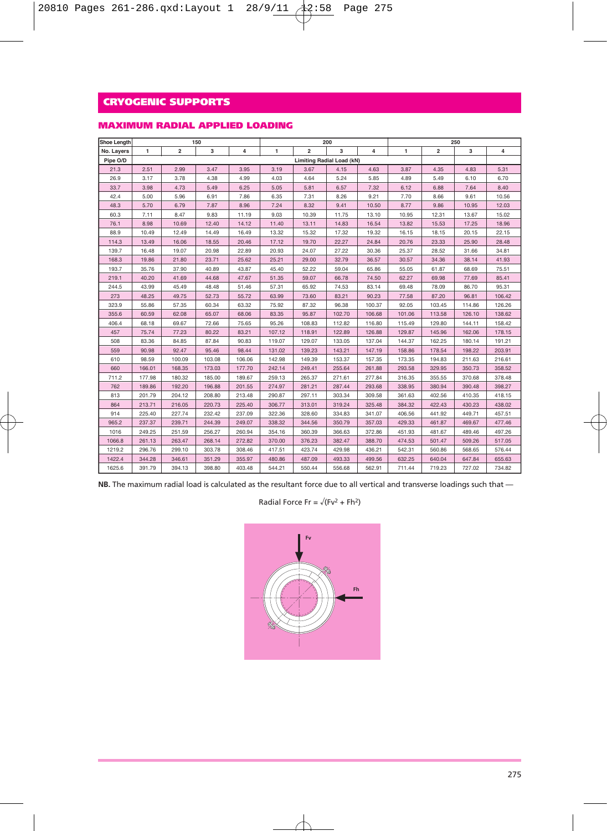### **MAXIMUM RADIAL APPLIED LOADING**

| Shoe Length |        |                | 150    |        |              |                                  | 200    |        |        | 250                     |        |        |
|-------------|--------|----------------|--------|--------|--------------|----------------------------------|--------|--------|--------|-------------------------|--------|--------|
| No. Layers  | 1      | $\overline{2}$ | 3      | 4      | $\mathbf{1}$ | $\overline{\mathbf{2}}$          | 3      | 4      | 1      | $\overline{\mathbf{2}}$ | 3      | 4      |
| Pipe O/D    |        |                |        |        |              | <b>Limiting Radial Load (kN)</b> |        |        |        |                         |        |        |
| 21.3        | 2.51   | 2.99           | 3.47   | 3.95   | 3.19         | 3.67                             | 4.15   | 4.63   | 3.87   | 4.35                    | 4.83   | 5.31   |
| 26.9        | 3.17   | 3.78           | 4.38   | 4.99   | 4.03         | 4.64                             | 5.24   | 5.85   | 4.89   | 5.49                    | 6.10   | 6.70   |
| 33.7        | 3.98   | 4.73           | 5.49   | 6.25   | 5.05         | 5.81                             | 6.57   | 7.32   | 6.12   | 6.88                    | 7.64   | 8.40   |
| 42.4        | 5.00   | 5.96           | 6.91   | 7.86   | 6.35         | 7.31                             | 8.26   | 9.21   | 7.70   | 8.66                    | 9.61   | 10.56  |
| 48.3        | 5.70   | 6.79           | 7.87   | 8.96   | 7.24         | 8.32                             | 9.41   | 10.50  | 8.77   | 9.86                    | 10.95  | 12.03  |
| 60.3        | 7.11   | 8.47           | 9.83   | 11.19  | 9.03         | 10.39                            | 11.75  | 13.10  | 10.95  | 12.31                   | 13.67  | 15.02  |
| 76.1        | 8.98   | 10.69          | 12.40  | 14.12  | 11.40        | 13.11                            | 14.83  | 16.54  | 13.82  | 15.53                   | 17.25  | 18.96  |
| 88.9        | 10.49  | 12.49          | 14.49  | 16.49  | 13.32        | 15.32                            | 17.32  | 19.32  | 16.15  | 18.15                   | 20.15  | 22.15  |
| 114.3       | 13.49  | 16.06          | 18.55  | 20.46  | 17.12        | 19.70                            | 22.27  | 24.84  | 20.76  | 23.33                   | 25.90  | 28.48  |
| 139.7       | 16.48  | 19.07          | 20.98  | 22.89  | 20.93        | 24.07                            | 27.22  | 30.36  | 25.37  | 28.52                   | 31.66  | 34.81  |
| 168.3       | 19.86  | 21.80          | 23.71  | 25.62  | 25.21        | 29.00                            | 32.79  | 36.57  | 30.57  | 34.36                   | 38.14  | 41.93  |
| 193.7       | 35.76  | 37.90          | 40.89  | 43.87  | 45.40        | 52.22                            | 59.04  | 65.86  | 55.05  | 61.87                   | 68.69  | 75.51  |
| 219.1       | 40.20  | 41.69          | 44.68  | 47.67  | 51.35        | 59.07                            | 66.78  | 74.50  | 62.27  | 69.98                   | 77.69  | 85.41  |
| 244.5       | 43.99  | 45.49          | 48.48  | 51.46  | 57.31        | 65.92                            | 74.53  | 83.14  | 69.48  | 78.09                   | 86.70  | 95.31  |
| 273         | 48.25  | 49.75          | 52.73  | 55.72  | 63.99        | 73.60                            | 83.21  | 90.23  | 77.58  | 87.20                   | 96.81  | 106.42 |
| 323.9       | 55.86  | 57.35          | 60.34  | 63.32  | 75.92        | 87.32                            | 96.38  | 100.37 | 92.05  | 103.45                  | 114.86 | 126.26 |
| 355.6       | 60.59  | 62.08          | 65.07  | 68.06  | 83.35        | 95.87                            | 102.70 | 106.68 | 101.06 | 113.58                  | 126.10 | 138.62 |
| 406.4       | 68.18  | 69.67          | 72.66  | 75.65  | 95.26        | 108.83                           | 112.82 | 116.80 | 115.49 | 129.80                  | 144.11 | 158.42 |
| 457         | 75.74  | 77.23          | 80.22  | 83.21  | 107.12       | 118.91                           | 122.89 | 126.88 | 129.87 | 145.96                  | 162.06 | 178.15 |
| 508         | 83.36  | 84.85          | 87.84  | 90.83  | 119.07       | 129.07                           | 133.05 | 137.04 | 144.37 | 162.25                  | 180.14 | 191.21 |
| 559         | 90.98  | 92.47          | 95.46  | 98.44  | 131.02       | 139.23                           | 143.21 | 147.19 | 158.86 | 178.54                  | 198.22 | 203.91 |
| 610         | 98.59  | 100.09         | 103.08 | 106.06 | 142.98       | 149.39                           | 153.37 | 157.35 | 173.35 | 194.83                  | 211.63 | 216.61 |
| 660         | 166.01 | 168.35         | 173.03 | 177.70 | 242.14       | 249.41                           | 255.64 | 261.88 | 293.58 | 329.95                  | 350.73 | 358.52 |
| 711.2       | 177.98 | 180.32         | 185.00 | 189.67 | 259.13       | 265.37                           | 271.61 | 277.84 | 316.35 | 355.55                  | 370.68 | 378.48 |
| 762         | 189.86 | 192.20         | 196.88 | 201.55 | 274.97       | 281.21                           | 287.44 | 293.68 | 338.95 | 380.94                  | 390.48 | 398.27 |
| 813         | 201.79 | 204.12         | 208.80 | 213.48 | 290.87       | 297.11                           | 303.34 | 309.58 | 361.63 | 402.56                  | 410.35 | 418.15 |
| 864         | 213.71 | 216.05         | 220.73 | 225.40 | 306.77       | 313.01                           | 319.24 | 325.48 | 384.32 | 422.43                  | 430.23 | 438.02 |
| 914         | 225.40 | 227.74         | 232.42 | 237.09 | 322.36       | 328.60                           | 334.83 | 341.07 | 406.56 | 441.92                  | 449.71 | 457.51 |
| 965.2       | 237.37 | 239.71         | 244.39 | 249.07 | 338.32       | 344.56                           | 350.79 | 357.03 | 429.33 | 461.87                  | 469.67 | 477.46 |
| 1016        | 249.25 | 251.59         | 256.27 | 260.94 | 354.16       | 360.39                           | 366.63 | 372.86 | 451.93 | 481.67                  | 489.46 | 497.26 |
| 1066.8      | 261.13 | 263.47         | 268.14 | 272.82 | 370.00       | 376.23                           | 382.47 | 388.70 | 474.53 | 501.47                  | 509.26 | 517.05 |
| 1219.2      | 296.76 | 299.10         | 303.78 | 308.46 | 417.51       | 423.74                           | 429.98 | 436.21 | 542.31 | 560.86                  | 568.65 | 576.44 |
| 1422.4      | 344.28 | 346.61         | 351.29 | 355.97 | 480.86       | 487.09                           | 493.33 | 499.56 | 632.25 | 640.04                  | 647.84 | 655.63 |
| 1625.6      | 391.79 | 394.13         | 398.80 | 403.48 | 544.21       | 550.44                           | 556.68 | 562.91 | 711.44 | 719.23                  | 727.02 | 734.82 |

**NB.** The maximum radial load is calculated as the resultant force due to all vertical and transverse loadings such that —

### Radial Force Fr =  $\sqrt{(Fv^2 + Fh^2)}$

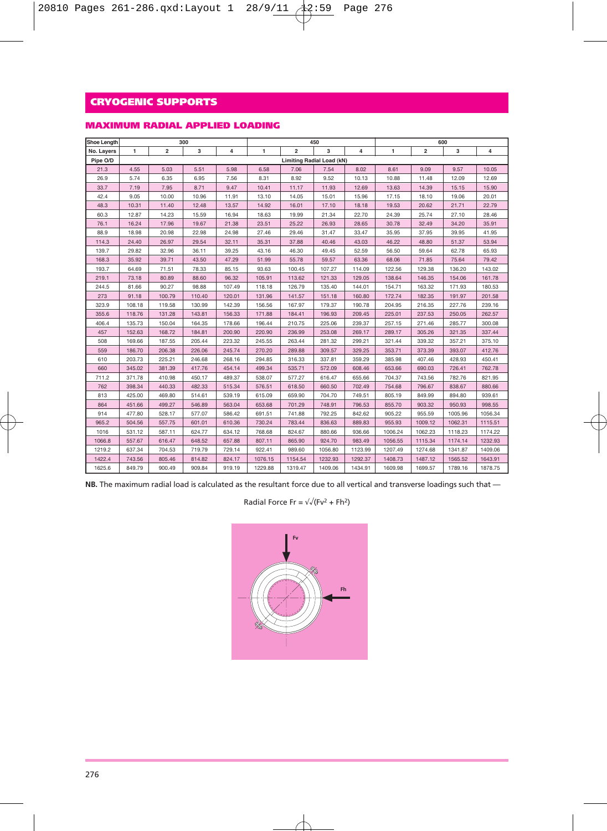### **MAXIMUM RADIAL APPLIED LOADING**

| Shoe Length |        |                | 300    |        |         |                           | 450     |         | 600     |                         |         |         |  |
|-------------|--------|----------------|--------|--------|---------|---------------------------|---------|---------|---------|-------------------------|---------|---------|--|
| No. Layers  | 1      | $\overline{2}$ | 3      | 4      | 1       | $\overline{2}$            | 3       | 4       | 1       | $\overline{\mathbf{2}}$ | 3       | 4       |  |
| Pipe O/D    |        |                |        |        |         | Limiting Radial Load (kN) |         |         |         |                         |         |         |  |
| 21.3        | 4.55   | 5.03           | 5.51   | 5.98   | 6.58    | 7.06                      | 7.54    | 8.02    | 8.61    | 9.09                    | 9.57    | 10.05   |  |
| 26.9        | 5.74   | 6.35           | 6.95   | 7.56   | 8.31    | 8.92                      | 9.52    | 10.13   | 10.88   | 11.48                   | 12.09   | 12.69   |  |
| 33.7        | 7.19   | 7.95           | 8.71   | 9.47   | 10.41   | 11.17                     | 11.93   | 12.69   | 13.63   | 14.39                   | 15.15   | 15.90   |  |
| 42.4        | 9.05   | 10.00          | 10.96  | 11.91  | 13.10   | 14.05                     | 15.01   | 15.96   | 17.15   | 18.10                   | 19.06   | 20.01   |  |
| 48.3        | 10.31  | 11.40          | 12.48  | 13.57  | 14.92   | 16.01                     | 17.10   | 18.18   | 19.53   | 20.62                   | 21.71   | 22.79   |  |
| 60.3        | 12.87  | 14.23          | 15.59  | 16.94  | 18.63   | 19.99                     | 21.34   | 22.70   | 24.39   | 25.74                   | 27.10   | 28.46   |  |
| 76.1        | 16.24  | 17.96          | 19.67  | 21.38  | 23.51   | 25.22                     | 26.93   | 28.65   | 30.78   | 32.49                   | 34.20   | 35.91   |  |
| 88.9        | 18.98  | 20.98          | 22.98  | 24.98  | 27.46   | 29.46                     | 31.47   | 33.47   | 35.95   | 37.95                   | 39.95   | 41.95   |  |
| 114.3       | 24.40  | 26.97          | 29.54  | 32.11  | 35.31   | 37.88                     | 40.46   | 43.03   | 46.22   | 48.80                   | 51.37   | 53.94   |  |
| 139.7       | 29.82  | 32.96          | 36.11  | 39.25  | 43.16   | 46.30                     | 49.45   | 52.59   | 56.50   | 59.64                   | 62.78   | 65.93   |  |
| 168.3       | 35.92  | 39.71          | 43.50  | 47.29  | 51.99   | 55.78                     | 59.57   | 63.36   | 68.06   | 71.85                   | 75.64   | 79.42   |  |
| 193.7       | 64.69  | 71.51          | 78.33  | 85.15  | 93.63   | 100.45                    | 107.27  | 114.09  | 122.56  | 129.38                  | 136.20  | 143.02  |  |
| 219.1       | 73.18  | 80.89          | 88.60  | 96.32  | 105.91  | 113.62                    | 121.33  | 129.05  | 138.64  | 146.35                  | 154.06  | 161.78  |  |
| 244.5       | 81.66  | 90.27          | 98.88  | 107.49 | 118.18  | 126.79                    | 135.40  | 144.01  | 154.71  | 163.32                  | 171.93  | 180.53  |  |
| 273         | 91.18  | 100.79         | 110.40 | 120.01 | 131.96  | 141.57                    | 151.18  | 160.80  | 172.74  | 182.35                  | 191.97  | 201.58  |  |
| 323.9       | 108.18 | 119.58         | 130.99 | 142.39 | 156.56  | 167.97                    | 179.37  | 190.78  | 204.95  | 216.35                  | 227.76  | 239.16  |  |
| 355.6       | 118.76 | 131.28         | 143.81 | 156.33 | 171.88  | 184.41                    | 196.93  | 209.45  | 225.01  | 237.53                  | 250.05  | 262.57  |  |
| 406.4       | 135.73 | 150.04         | 164.35 | 178.66 | 196.44  | 210.75                    | 225.06  | 239.37  | 257.15  | 271.46                  | 285.77  | 300.08  |  |
| 457         | 152.63 | 168.72         | 184.81 | 200.90 | 220.90  | 236.99                    | 253.08  | 269.17  | 289.17  | 305.26                  | 321.35  | 337.44  |  |
| 508         | 169.66 | 187.55         | 205.44 | 223.32 | 245.55  | 263.44                    | 281.32  | 299.21  | 321.44  | 339.32                  | 357.21  | 375.10  |  |
| 559         | 186.70 | 206.38         | 226.06 | 245.74 | 270.20  | 289.88                    | 309.57  | 329.25  | 353.71  | 373.39                  | 393.07  | 412.76  |  |
| 610         | 203.73 | 225.21         | 246.68 | 268.16 | 294.85  | 316.33                    | 337.81  | 359.29  | 385.98  | 407.46                  | 428.93  | 450.41  |  |
| 660         | 345.02 | 381.39         | 417.76 | 454.14 | 499.34  | 535.71                    | 572.09  | 608.46  | 653.66  | 690.03                  | 726.41  | 762.78  |  |
| 711.2       | 371.78 | 410.98         | 450.17 | 489.37 | 538.07  | 577.27                    | 616.47  | 655.66  | 704.37  | 743.56                  | 782.76  | 821.95  |  |
| 762         | 398.34 | 440.33         | 482.33 | 515.34 | 576.51  | 618.50                    | 660.50  | 702.49  | 754.68  | 796.67                  | 838.67  | 880.66  |  |
| 813         | 425.00 | 469.80         | 514.61 | 539.19 | 615.09  | 659.90                    | 704.70  | 749.51  | 805.19  | 849.99                  | 894.80  | 939.61  |  |
| 864         | 451.66 | 499.27         | 546.89 | 563.04 | 653.68  | 701.29                    | 748.91  | 796.53  | 855.70  | 903.32                  | 950.93  | 998.55  |  |
| 914         | 477.80 | 528.17         | 577.07 | 586.42 | 691.51  | 741.88                    | 792.25  | 842.62  | 905.22  | 955.59                  | 1005.96 | 1056.34 |  |
| 965.2       | 504.56 | 557.75         | 601.01 | 610.36 | 730.24  | 783.44                    | 836.63  | 889.83  | 955.93  | 1009.12                 | 1062.31 | 1115.51 |  |
| 1016        | 531.12 | 587.11         | 624.77 | 634.12 | 768.68  | 824.67                    | 880.66  | 936.66  | 1006.24 | 1062.23                 | 1118.23 | 1174.22 |  |
| 1066.8      | 557.67 | 616.47         | 648.52 | 657.88 | 807.11  | 865.90                    | 924.70  | 983.49  | 1056.55 | 1115.34                 | 1174.14 | 1232.93 |  |
| 1219.2      | 637.34 | 704.53         | 719.79 | 729.14 | 922.41  | 989.60                    | 1056.80 | 1123.99 | 1207.49 | 1274.68                 | 1341.87 | 1409.06 |  |
| 1422.4      | 743.56 | 805.46         | 814.82 | 824.17 | 1076.15 | 1154.54                   | 1232.93 | 1292.37 | 1408.73 | 1487.12                 | 1565.52 | 1643.91 |  |
| 1625.6      | 849.79 | 900.49         | 909.84 | 919.19 | 1229.88 | 1319.47                   | 1409.06 | 1434.91 | 1609.98 | 1699.57                 | 1789.16 | 1878.75 |  |

**NB.** The maximum radial load is calculated as the resultant force due to all vertical and transverse loadings such that —

Radial Force Fr =  $\sqrt{(Fv^2 + Fh^2)}$ 

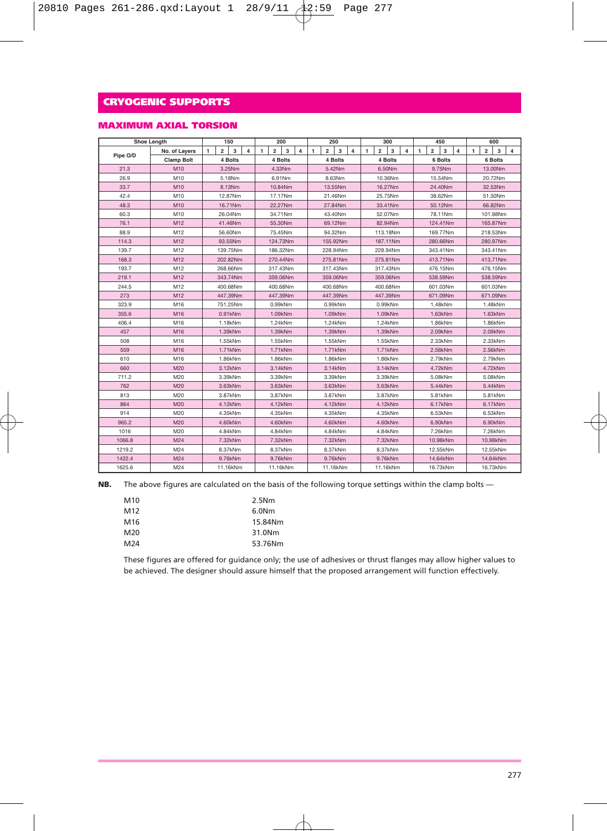### **MAXIMUM AXIAL TORSION**

| Shoe Length |                   | 150                          |          |                         | 200     |                         |          |                | 250      |                         |          |          |          | 300                     |          | 450            |          |                |          | 600            |          |                |          |                |         |  |
|-------------|-------------------|------------------------------|----------|-------------------------|---------|-------------------------|----------|----------------|----------|-------------------------|----------|----------|----------|-------------------------|----------|----------------|----------|----------------|----------|----------------|----------|----------------|----------|----------------|---------|--|
|             | No. of Layers     | $\overline{\mathbf{2}}$<br>1 | 3        | $\overline{\mathbf{4}}$ | 1       | $\overline{\mathbf{2}}$ | 3        | $\overline{4}$ | 1        | $\overline{\mathbf{2}}$ | 3        | 4        | 1        | $\overline{\mathbf{2}}$ | 3        | $\overline{4}$ | 1        | $\overline{2}$ | 3        | $\overline{4}$ | 1        | $\overline{2}$ | 3        | $\overline{4}$ |         |  |
| Pipe O/D    | <b>Clamp Bolt</b> |                              | 4 Bolts  |                         |         | 4 Bolts                 |          |                |          |                         | 4 Bolts  |          |          |                         | 4 Bolts  |                |          |                | 6 Bolts  |                |          |                | 6 Bolts  |                |         |  |
| 21.3        | M10               |                              | 3.25Nm   |                         |         | 4.33Nm                  |          |                |          |                         | 5.42Nm   |          |          |                         | 6.50Nm   |                |          |                | 9.75Nm   |                |          | 13,00Nm        |          |                |         |  |
| 26.9        | M10               |                              | 5.18Nm   |                         |         | 6.91Nm                  |          |                | 8.63Nm   |                         | 10.36Nm  |          |          |                         | 15,54Nm  |                |          |                | 20.72Nm  |                |          |                |          |                |         |  |
| 33.7        | M10               |                              | 8.13Nm   |                         |         |                         | 10.84Nm  |                | 13.55Nm  |                         |          | 16.27Nm  |          |                         |          | 24.40Nm        |          |                |          | 32.53Nm        |          |                |          |                |         |  |
| 42.4        | M10               |                              | 12.87Nm  |                         |         |                         | 17.17Nm  |                |          |                         | 21.46Nm  |          |          |                         | 25.75Nm  |                | 38.62Nm  |                |          |                |          | 51.50Nm        |          |                |         |  |
| 48.3        | M10               |                              | 16.71Nm  |                         |         |                         | 22.27Nm  |                |          |                         | 27.84Nm  |          |          |                         | 33.41Nm  |                |          |                | 50.12Nm  |                |          |                | 66.82Nm  |                |         |  |
| 60.3        | M10               |                              | 26.04Nm  |                         |         |                         | 34.71Nm  |                |          |                         | 43.40Nm  |          |          |                         | 52.07Nm  |                |          |                | 78.11Nm  |                |          |                | 101.98Nm |                |         |  |
| 76.1        | M12               |                              | 41.46Nm  |                         |         |                         | 55.30Nm  |                |          |                         | 69.12Nm  |          |          |                         | 82.94Nm  |                |          |                | 124.41Nm |                |          |                | 165.87Nm |                |         |  |
| 88.9        | M12               |                              | 56,60Nm  |                         |         |                         | 75.45Nm  |                |          |                         | 94.32Nm  |          |          |                         | 113.18Nm |                |          |                | 169.77Nm |                |          |                | 218,53Nm |                |         |  |
| 114.3       | M12               |                              | 93.55Nm  |                         |         |                         | 124.73Nm |                |          |                         | 155.92Nm |          |          |                         | 187.11Nm |                |          |                | 280.66Nm |                |          |                | 280.97Nm |                |         |  |
| 139.7       | M12               |                              | 139.75Nm |                         |         |                         | 186.32Nm |                |          |                         | 228.94Nm |          |          |                         | 228.94Nm |                |          |                | 343.41Nm |                |          |                | 343.41Nm |                |         |  |
| 168.3       | M12               |                              | 202.82Nm |                         |         |                         | 270.44Nm |                |          |                         | 275.81Nm |          |          |                         | 275.81Nm |                |          |                | 413.71Nm |                |          |                | 413.71Nm |                |         |  |
| 193.7       | M12               |                              | 268.66Nm |                         |         |                         | 317.43Nm |                |          |                         | 317.43Nm |          |          |                         | 317.43Nm |                |          |                | 476.15Nm |                |          |                | 476.15Nm |                |         |  |
| 219.1       | M12               |                              | 343.74Nm |                         |         |                         | 359.06Nm |                |          |                         | 359.06Nm |          |          |                         | 359.06Nm |                |          |                | 538.59Nm |                |          |                | 538,59Nm |                |         |  |
| 244.5       | M12               |                              | 400.68Nm |                         |         |                         | 400.68Nm |                | 400.68Nm |                         |          | 400.68Nm |          | 601.03Nm                |          |                |          | 601.03Nm       |          |                |          |                |          |                |         |  |
| 273         | M12               |                              | 447.39Nm |                         |         |                         | 447.39Nm |                | 447.39Nm |                         |          |          | 447.39Nm |                         |          |                | 671.09Nm |                |          |                | 671.09Nm |                |          |                |         |  |
| 323.9       | M16               |                              | 751.25Nm |                         |         |                         | 0.99kNm  |                | 0.99kNm  |                         |          |          |          | 0.99kNm                 |          |                |          | 1.48kNm        |          |                |          | 1.48kNm        |          |                |         |  |
| 355.6       | M16               |                              | 0.91kNm  |                         | 1.09kNm |                         |          |                |          |                         | 1.09kNm  |          |          |                         | 1.09kNm  |                |          |                | 1.63kNm  |                |          |                | 1.63kNm  |                |         |  |
| 406.4       | M16               |                              | 1.18kNm  |                         |         |                         | 1.24kNm  |                |          |                         | 1.24kNm  |          |          |                         | 1.24kNm  |                |          |                | 1.86kNm  |                |          |                | 1.86kNm  |                |         |  |
| 457         | M16               |                              | 1.39kNm  |                         |         | 1.39kNm                 |          |                |          |                         |          |          |          | 1.39kNm                 |          |                | 1.39kNm  |                |          | 2.09kNm        |          |                |          |                | 2.09kNm |  |
| 508         | M16               |                              | 1.55kNm  |                         |         |                         | 1.55kNm  |                |          |                         | 1.55kNm  |          |          |                         | 1.55kNm  |                |          |                | 2.33kNm  |                |          |                | 2.33kNm  |                |         |  |
| 559         | M16               |                              | 1.71kNm  |                         |         |                         | 1.71kNm  |                |          |                         |          |          | 1.71kNm  |                         | 1.71kNm  |                |          | 2.56kNm        |          |                |          |                | 2.56kNm  |                |         |  |
| 610         | M16               |                              | 1.86kNm  |                         | 1.86kNm |                         |          |                |          |                         | 1.86kNm  |          |          | 1.86kNm                 |          |                | 2.79kNm  |                |          |                |          | 2.79kNm        |          |                |         |  |
| 660         | M20               |                              | 3.12kNm  |                         |         |                         | 3.14kNm  |                |          |                         | 3.14kNm  |          | 3.14kNm  |                         |          |                |          | 4.72kNm        |          |                |          | 4.72kNm        |          |                |         |  |
| 711.2       | M20               |                              | 3.39kNm  |                         |         | 3.39kNm                 |          | 3.39kNm        |          |                         | 3.39kNm  |          |          |                         |          |                | 5.08kNm  |                |          |                | 5.08kNm  |                |          |                |         |  |
| 762         | M20               |                              | 3.63kNm  |                         |         |                         | 3.63kNm  |                |          |                         | 3.63kNm  |          |          |                         | 3.63kNm  |                |          |                | 5.44kNm  |                |          |                | 5.44kNm  |                |         |  |
| 813         | M20               |                              | 3.87kNm  |                         |         |                         | 3.87kNm  |                |          |                         | 3.87kNm  |          |          |                         | 3.87kNm  |                |          |                | 5.81kNm  |                |          |                | 5.81kNm  |                |         |  |
| 864         | M20               |                              | 4.12kNm  |                         |         |                         | 4.12kNm  |                |          |                         | 4.12kNm  |          |          |                         | 4.12kNm  |                |          |                | 6.17kNm  |                |          |                | 6.17kNm  |                |         |  |
| 914         | M20               |                              | 4.35kNm  |                         |         |                         | 4.35kNm  |                |          |                         | 4.35kNm  |          |          |                         | 4.35kNm  |                |          |                | 6.53kNm  |                |          |                | 6.53kNm  |                |         |  |
| 965.2       | M20               |                              | 4.60kNm  |                         |         |                         | 4.60kNm  |                |          |                         | 4.60kNm  |          |          |                         | 4.60kNm  |                |          |                | 6.90kNm  |                |          |                | 6.90kNm  |                |         |  |
| 1016        | M20               |                              | 4.84kNm  |                         |         |                         | 4.84kNm  |                |          |                         | 4.84kNm  |          | 4.84kNm  |                         | 7.26kNm  |                |          | 7.26kNm        |          |                |          |                |          |                |         |  |
| 1066.8      | M24               |                              | 7.32kNm  |                         |         |                         | 7.32kNm  |                | 7.32kNm  |                         |          |          | 7.32kNm  |                         |          | 10.98kNm       |          |                | 10.98kNm |                |          |                |          |                |         |  |
| 1219.2      | M24               |                              | 8.37kNm  |                         |         |                         | 8.37kNm  |                |          |                         | 8.37kNm  |          |          |                         | 8.37kNm  |                |          |                | 12.55kNm |                |          |                | 12.55kNm |                |         |  |
| 1422.4      | M24               |                              | 9.76kNm  |                         | 9.76kNm |                         | 9.76kNm  |                | 9.76kNm  |                         | 14.64kNm |          |          |                         |          | 14.64kNm       |          |                |          |                |          |                |          |                |         |  |
| 1625.6      | M24               |                              | 11.16kNm |                         |         |                         | 11.16kNm |                |          |                         | 11.16kNm |          |          |                         | 11.16kNm |                |          |                | 16.73kNm |                |          |                | 16.73kNm |                |         |  |

**NB.** The above figures are calculated on the basis of the following torque settings within the clamp bolts —

| M <sub>10</sub> | 2.5Nm             |
|-----------------|-------------------|
| M12             | 6.0 <sub>Nm</sub> |
| M16             | 15.84Nm           |
| M20             | 31.0Nm            |
| M24             | 53.76Nm           |

These figures are offered for guidance only; the use of adhesives or thrust flanges may allow higher values to be achieved. The designer should assure himself that the proposed arrangement will function effectively.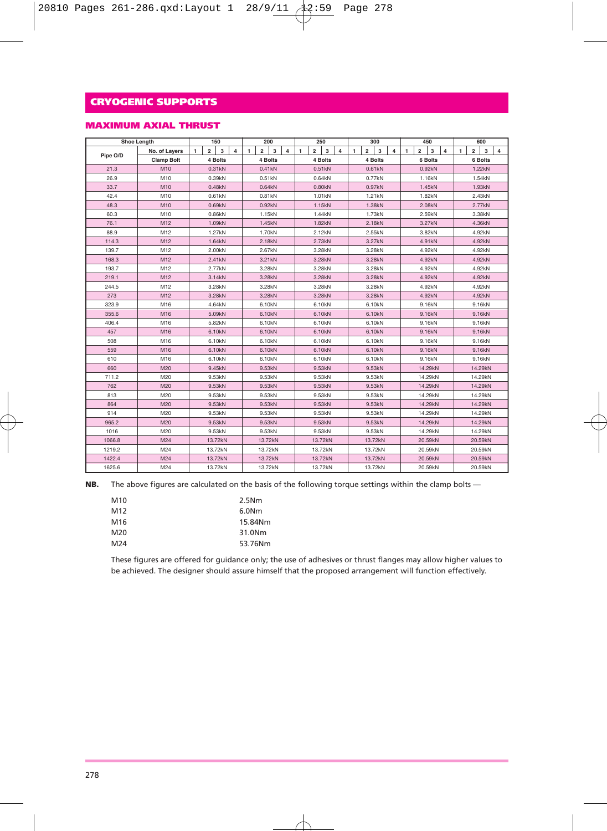### **MAXIMUM AXIAL THRUST**

|          | <b>Shoe Length</b> | 150                                                 | 200                                                 | 250                           | 300                                        | 450                                        | 600                                                 |  |  |
|----------|--------------------|-----------------------------------------------------|-----------------------------------------------------|-------------------------------|--------------------------------------------|--------------------------------------------|-----------------------------------------------------|--|--|
|          | No. of Layers      | $\overline{\mathbf{2}}$<br>3<br>1<br>$\overline{4}$ | $\overline{2}$<br>3<br>$\overline{\mathbf{4}}$<br>1 | $\overline{2}$<br>3<br>4<br>1 | $\overline{2}$<br>3<br>$\overline{4}$<br>1 | $\overline{2}$<br>3<br>$\overline{4}$<br>1 | $\overline{\mathbf{2}}$<br>1<br>3<br>$\overline{4}$ |  |  |
| Pipe O/D | <b>Clamp Bolt</b>  | 4 Bolts                                             | 4 Bolts                                             | 4 Bolts                       | 4 Bolts                                    | 6 Bolts                                    | 6 Bolts                                             |  |  |
| 21.3     | M10                | 0.31kN                                              | 0.41kN                                              | 0.51kN                        | 0.61kN                                     | 0.92kN                                     | 1.22kN                                              |  |  |
| 26.9     | M10                | 0.39kN                                              | 0.51kN                                              | 0.64kN                        | 0.77kN                                     | 1.16kN                                     | 1.54kN                                              |  |  |
| 33.7     | M10                | 0.48kN                                              | 0.64kN                                              | 0.80kN                        | 0.97kN                                     | 1.45kN                                     | 1.93kN                                              |  |  |
| 42.4     | M10                | 0.61kN                                              | 0.81kN                                              | 1.01 <sub>kN</sub>            | 1.21kN                                     | 1.82kN                                     | 2.43kN                                              |  |  |
| 48.3     | M10                | 0.69kN                                              | 0.92kN                                              | 1.15kN                        | 1.38kN                                     | 2.08kN                                     | 2.77kN                                              |  |  |
| 60.3     | M10                | 0.86kN                                              | 1.15kN                                              | 1.44kN                        | 1.73kN                                     | 2.59kN                                     | 3.38kN                                              |  |  |
| 76.1     | M12                | 1.09kN                                              | 1.45kN                                              | 1.82kN                        | 2.18kN                                     | 3.27kN                                     | 4.36kN                                              |  |  |
| 88.9     | M12                | 1.27kN                                              | 1.70 <sub>kN</sub>                                  | 2.12kN                        | 2.55kN                                     | 3.82kN                                     | 4.92kN                                              |  |  |
| 114.3    | M12                | 1.64kN                                              | 2.18kN                                              | 2.73kN                        | 3.27kN                                     | 4.91kN                                     | 4.92kN                                              |  |  |
| 139.7    | M12                | 2.00kN                                              | 2.67kN                                              | 3.28kN                        | 3.28kN                                     | 4.92kN                                     | 4.92kN                                              |  |  |
| 168.3    | M12                | 2.41kN                                              | 3.21kN                                              | 3.28kN                        | 3.28kN                                     | 4.92kN                                     | 4.92kN                                              |  |  |
| 193.7    | M12                | 2.77kN                                              | 3.28kN                                              | 3.28kN                        | 3.28kN                                     | 4.92kN                                     | 4.92kN                                              |  |  |
| 219.1    | M12                | 3.14kN                                              | 3.28kN                                              | 3.28kN                        | 3.28kN                                     | 4.92kN                                     | 4.92kN                                              |  |  |
| 244.5    | M12                | 3.28kN                                              | 3.28kN                                              | 3.28kN                        | 3.28kN                                     | 4.92kN                                     | 4.92kN                                              |  |  |
| 273      | M12                | 3.28kN                                              | 3.28kN                                              | 3.28kN                        | 3.28kN                                     | 4.92kN                                     | 4.92kN                                              |  |  |
| 323.9    | M16                | 4.64kN                                              | 6.10kN                                              | 6.10kN                        | 6.10kN                                     | 9.16kN                                     | 9.16kN                                              |  |  |
| 355.6    | M16                | 5.09kN                                              | 6.10kN                                              | 6.10kN                        | 6.10kN                                     | 9.16kN                                     | 9.16kN                                              |  |  |
| 406.4    | M16                | 5.82kN                                              | 6.10kN                                              | 6.10kN                        | 6.10kN                                     | 9.16kN                                     | 9.16kN                                              |  |  |
| 457      | M16                | 6.10kN                                              | 6.10kN                                              | 6.10kN                        | 6.10kN                                     | 9.16kN                                     | 9.16kN                                              |  |  |
| 508      | M16                | 6.10kN                                              | 6.10kN                                              | 6.10kN                        | 6.10kN                                     | 9.16kN                                     | 9.16kN                                              |  |  |
| 559      | M16                | 6.10kN                                              | 6.10kN                                              | 6.10kN                        | 6.10kN                                     | 9.16kN                                     | 9.16kN                                              |  |  |
| 610      | M16                | 6.10kN                                              | 6.10kN                                              | 6.10kN                        | 6.10kN                                     | 9.16kN                                     | 9.16kN                                              |  |  |
| 660      | M20                | 9.45kN                                              | 9.53kN                                              | 9.53kN                        | 9.53kN                                     | 14.29kN                                    | 14.29kN                                             |  |  |
| 711.2    | M20                | 9.53kN                                              | 9.53kN                                              | 9.53kN                        | 9.53kN                                     | 14.29kN                                    | 14.29kN                                             |  |  |
| 762      | M20                | 9.53kN                                              | 9.53kN                                              | 9.53kN                        | 9.53kN                                     | 14.29kN                                    | 14.29kN                                             |  |  |
| 813      | M20                | 9.53kN                                              | 9.53kN                                              | 9.53kN                        | 9.53kN                                     | 14.29kN                                    | 14.29kN                                             |  |  |
| 864      | M20                | 9.53kN                                              | 9.53kN                                              | 9.53kN                        | 9.53kN                                     | 14.29kN                                    | 14.29kN                                             |  |  |
| 914      | M20                | 9.53kN                                              | 9.53kN                                              | 9.53kN                        | 9.53kN                                     | 14.29kN                                    | 14.29kN                                             |  |  |
| 965.2    | M20                | 9.53kN                                              | 9.53kN                                              | 9.53kN                        | 9.53kN                                     | 14.29kN                                    | 14.29kN                                             |  |  |
| 1016     | M20                | 9.53kN                                              | 9.53kN                                              | 9.53kN                        | 9.53kN                                     | 14.29kN                                    | 14.29kN                                             |  |  |
| 1066.8   | M24                | 13.72kN                                             | 13.72kN                                             | 13.72kN                       | 13.72kN                                    | 20.59kN                                    | 20.59kN                                             |  |  |
| 1219.2   | M24                | 13.72kN                                             | 13.72kN                                             | 13.72kN                       | 13.72kN                                    | 20.59kN                                    | 20.59kN                                             |  |  |
| 1422.4   | M24                | 13.72kN                                             | 13.72kN                                             | 13.72kN                       | 13.72kN                                    | 20.59kN                                    | 20.59kN                                             |  |  |
| 1625.6   | M24                | 13.72kN                                             | 13.72kN                                             | 13.72kN                       | 13.72kN                                    | 20.59kN                                    | 20,59kN                                             |  |  |

**NB.** The above figures are calculated on the basis of the following torque settings within the clamp bolts —

| M <sub>10</sub> | 2.5Nm             |
|-----------------|-------------------|
| M12             | 6.0 <sub>Nm</sub> |
| M16             | 15.84Nm           |
| M20             | 31.0Nm            |
| M24             | 53.76Nm           |

These figures are offered for guidance only; the use of adhesives or thrust flanges may allow higher values to be achieved. The designer should assure himself that the proposed arrangement will function effectively.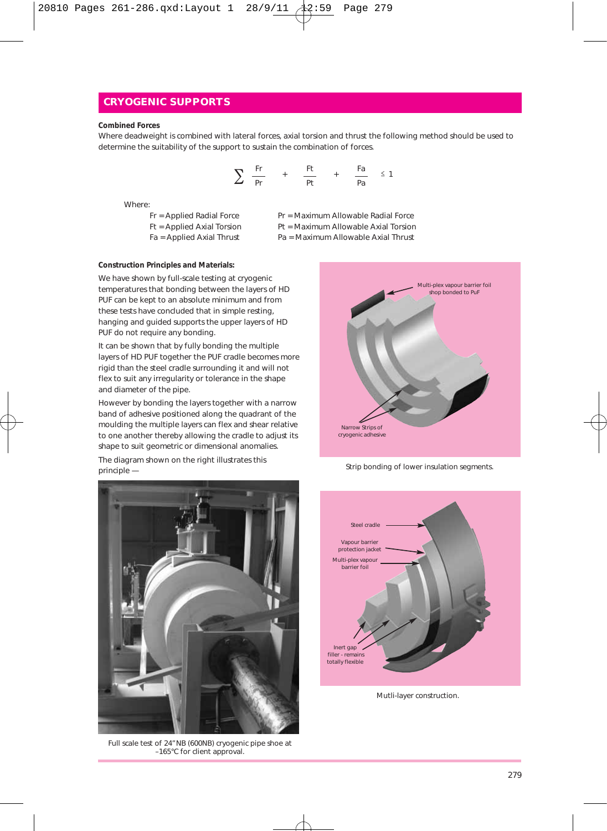#### **Combined Forces**

Where deadweight is combined with lateral forces, axial torsion and thrust the following method should be used to determine the suitability of the support to sustain the combination of forces.

$$
\sum \frac{Fr}{Pr} + \frac{Ft}{Pt} + \frac{Fa}{Pa} \le 1
$$

- Where:<br>Fr = Applied Radial Force
	- $Ft =$  Applied Axial Torsion
- Pr = Maximum Allowable Radial Force<br>Pt = Maximum Allowable Axial Torsion
- 
- Fa = Applied Axial Thrust Pa = Maximum Allowable Axial Thrust

#### **Construction Principles and Materials:**

We have shown by full-scale testing at cryogenic temperatures that bonding between the layers of HD PUF can be kept to an absolute minimum and from these tests have concluded that in simple resting, hanging and guided supports the upper layers of HD PUF do not require any bonding.

It can be shown that by fully bonding the multiple layers of HD PUF together the PUF cradle becomes more rigid than the steel cradle surrounding it and will not flex to suit any irregularity or tolerance in the shape and diameter of the pipe.

However by bonding the layers together with a narrow band of adhesive positioned along the quadrant of the moulding the multiple layers can flex and shear relative to one another thereby allowing the cradle to adjust its shape to suit geometric or dimensional anomalies.

The diagram shown on the right illustrates this principle —



Full scale test of 24"NB (600NB) cryogenic pipe shoe at –165°C for client approval.



Strip bonding of lower insulation segments.



Mutli-layer construction.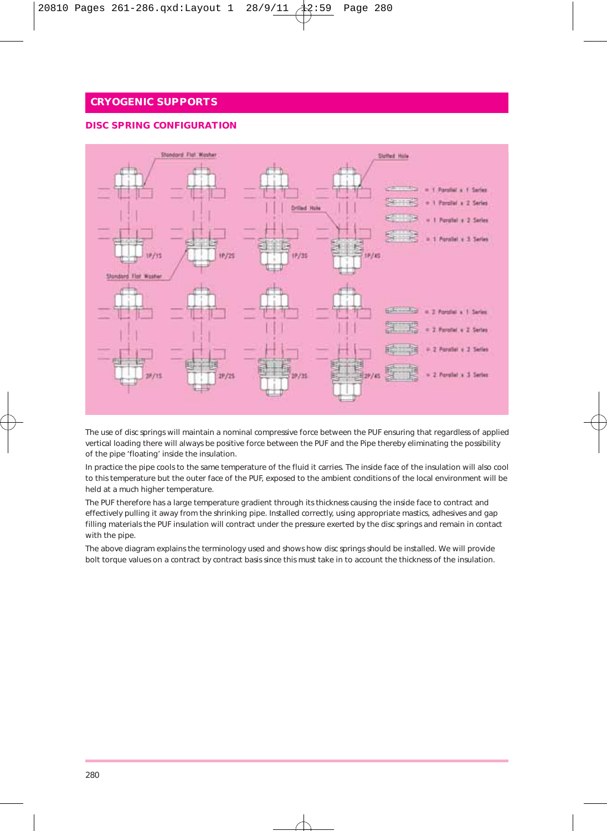#### **DISC SPRING CONFIGURATION**



The use of disc springs will maintain a nominal compressive force between the PUF ensuring that regardless of applied vertical loading there will always be positive force between the PUF and the Pipe thereby eliminating the possibility of the pipe 'floating' inside the insulation.

In practice the pipe cools to the same temperature of the fluid it carries. The inside face of the insulation will also cool to this temperature but the outer face of the PUF, exposed to the ambient conditions of the local environment will be held at a much higher temperature.

The PUF therefore has a large temperature gradient through its thickness causing the inside face to contract and effectively pulling it away from the shrinking pipe. Installed correctly, using appropriate mastics, adhesives and gap filling materials the PUF insulation will contract under the pressure exerted by the disc springs and remain in contact with the pipe.

The above diagram explains the terminology used and shows how disc springs should be installed. We will provide bolt torque values on a contract by contract basis since this must take in to account the thickness of the insulation.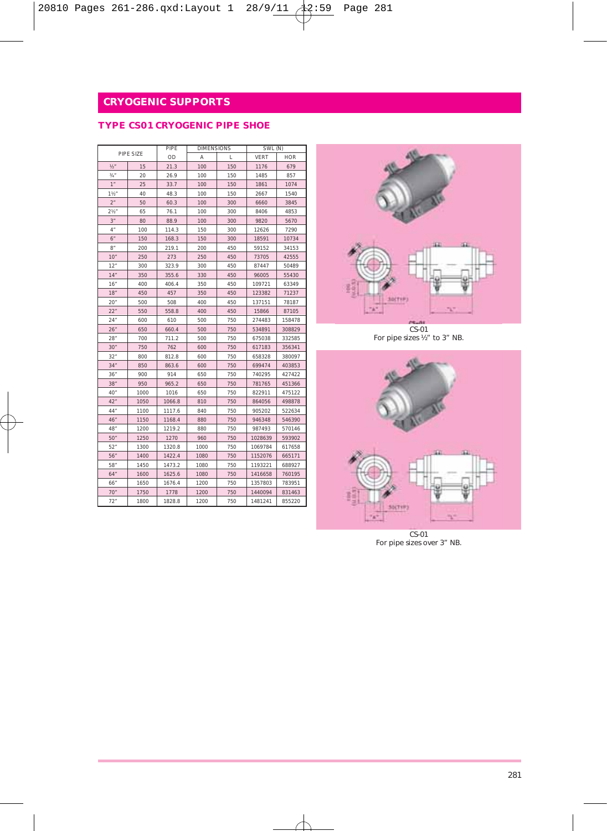### **TYPE CS01 CRYOGENIC PIPE SHOE**

|                  |           |        | <b>DIMENSIONS</b> |     | SWL (N) |            |  |
|------------------|-----------|--------|-------------------|-----|---------|------------|--|
|                  | PIPE SIZE | OD     | Α                 | L   | VERT    | <b>HOR</b> |  |
| 1/2              | 15        | 21.3   | 100               | 150 | 1176    | 679        |  |
| $3/4$ "          | 20        | 26.9   | 100               | 150 | 1485    | 857        |  |
| 1 <sup>''</sup>  | 25        | 33.7   | 100               | 150 | 1861    | 1074       |  |
| 1 <sup>1</sup>   | 40        | 48.3   | 100               | 150 | 2667    | 1540       |  |
| 2 <sup>n</sup>   | 50        | 60.3   | 100               | 300 | 6660    | 3845       |  |
| 2 <sup>2</sup>   | 65        | 76.1   | 100               | 300 | 8406    | 4853       |  |
| 3"               | 80        | 88.9   | 100               | 300 | 9820    | 5670       |  |
| 4 <sup>o</sup>   | 100       | 114.3  | 150               | 300 | 12626   | 7290       |  |
| $6''$            | 150       | 168.3  | 150               | 300 | 18591   | 10734      |  |
| R''              | 200       | 219.1  | 200               | 450 | 59152   | 34153      |  |
| 10 <sup>°</sup>  | 250       | 273    | 250               | 450 | 73705   | 42555      |  |
| 12"              | 300       | 323.9  | 300               | 450 | 87447   | 50489      |  |
| 14"              | 350       | 355.6  | 330               | 450 | 96005   | 55430      |  |
| 16"              | 400       | 406.4  | 350               | 450 | 109721  | 63349      |  |
| 18 <sup>''</sup> | 450       | 457    | 350               | 450 | 123382  | 71237      |  |
| 20"              | 500       | 508    | 400               | 450 | 137151  | 78187      |  |
| 22"              | 550       | 558.8  | 400               | 450 | 15866   | 87105      |  |
| 24"              | 600       | 610    | 500               | 750 | 274483  | 158478     |  |
| 26"              | 650       | 660.4  | 500               | 750 | 534891  | 308829     |  |
| 28"              | 700       | 711.2  | 500               | 750 | 675038  | 332585     |  |
| 30"              | 750       | 762    | 600               | 750 | 617183  | 356341     |  |
| 32"              | 800       | 812.8  | 600               | 750 | 658328  | 380097     |  |
| 34"              | 850       | 863.6  | 600               | 750 | 699474  | 403853     |  |
| 36"              | 900       | 914    | 650               | 750 | 740295  | 427422     |  |
| 38"              | 950       | 965.2  | 650               | 750 | 781765  | 451366     |  |
| 40 <sup>o</sup>  | 1000      | 1016   | 650               | 750 | 822911  | 475122     |  |
| 42"              | 1050      | 1066.8 | 810               | 750 | 864056  | 498878     |  |
| 44"              | 1100      | 1117.6 | 840               | 750 | 905202  | 522634     |  |
| 46"              | 1150      | 1168.4 | 880               | 750 | 946348  | 546390     |  |
| 48"              | 1200      | 1219.2 | 880               | 750 | 987493  | 570146     |  |
| 50"              | 1250      | 1270   | 960               | 750 | 1028639 | 593902     |  |
| 52"              | 1300      | 1320.8 | 1000              | 750 | 1069784 | 617658     |  |
| 56"              | 1400      | 1422.4 | 1080              | 750 | 1152076 | 665171     |  |
| 58"              | 1450      | 1473.2 | 1080              | 750 | 1193221 | 688927     |  |
| 64"              | 1600      | 1625.6 | 1080              | 750 | 1416658 | 760195     |  |
| 66"              | 1650      | 1676.4 | 1200              | 750 | 1357803 | 783951     |  |
| 70"              | 1750      | 1778   | 1200              | 750 | 1440094 | 831463     |  |
| 72"              | 1800      | 1828.8 | 1200              | 750 | 1481241 | 855220     |  |



CS-01 For pipe sizes ½" to 3" NB.



CS-01 For pipe sizes over 3" NB.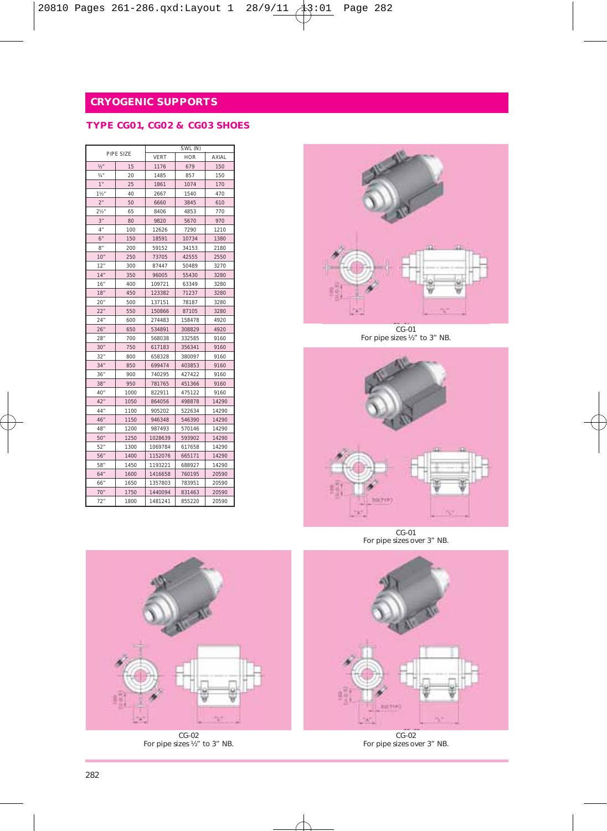## **TYPE CG01, CG02 & CG03 SHOES**

|                 |           |                    | SWL (N) |       |  |  |
|-----------------|-----------|--------------------|---------|-------|--|--|
|                 | PIPE SIZE | VERT<br><b>HOR</b> |         | AXIAL |  |  |
| $1/2$ "         | 15        | 1176               | 679     | 150   |  |  |
| $3/4$ "         | 20        | 1485               | 857     | 150   |  |  |
| 1"              | 25        | 1861               | 1074    | 170   |  |  |
| 1½"             | 40        | 2667               | 1540    | 470   |  |  |
| 2"              | 50        | 6660               | 3845    | 610   |  |  |
| 2 <sup>16</sup> | 65        | 8406               | 4853    | 770   |  |  |
| 3"              | 80        | 9820               | 5670    | 970   |  |  |
| 4"              | 100       | 12626              | 7290    | 1210  |  |  |
| 6"              | 150       | 18591              | 10734   | 1380  |  |  |
| 8"              | 200       | 59152              | 34153   | 2180  |  |  |
| 10"             | 250       | 73705              | 42555   | 2550  |  |  |
| 12"             | 300       | 87447              | 50489   | 3270  |  |  |
| 14"             | 350       | 96005              | 55430   | 3280  |  |  |
| 16"             | 400       | 109721             | 63349   | 3280  |  |  |
| 18"             | 450       | 123382             | 71237   | 3280  |  |  |
| 20"             | 500       | 137151             | 78187   | 3280  |  |  |
| 22"             | 550       | 150866             | 87105   | 3280  |  |  |
| 24"             | 600       | 274483             | 158478  | 4920  |  |  |
| 26"             | 650       | 534891             | 308829  | 4920  |  |  |
| 28"             | 700       | 568038             | 332585  | 9160  |  |  |
| 30"             | 750       | 617183             | 356341  | 9160  |  |  |
| 32"             | 800       | 658328             | 380097  | 9160  |  |  |
| 34"             | 850       | 699474             | 403853  | 9160  |  |  |
| 36"             | 900       | 740295             | 427422  | 9160  |  |  |
| 38"             | 950       | 781765             | 451366  | 9160  |  |  |
| 40"             | 1000      | 822911             | 475122  | 9160  |  |  |
| 42"             | 1050      | 864056             | 498878  | 14290 |  |  |
| 44*             | 1100      | 905202             | 522634  | 14290 |  |  |
| 46"             | 1150      | 946348             | 546390  | 14290 |  |  |
| 48*             | 1200      | 987493             | 570146  | 14290 |  |  |
| 50"             | 1250      | 1028639            | 593902  | 14290 |  |  |
| 52"             | 1300      | 1069784            | 617658  | 14290 |  |  |
| 56"             | 1400      | 1152076            | 665171  | 14290 |  |  |
| 58*             | 1450      | 1193221            | 688927  | 14290 |  |  |
| 64"             | 1600      | 1416658            | 760195  | 20590 |  |  |
| 66"             | 1650      | 1357803            | 783951  | 20590 |  |  |
| 70"             | 1750      | 1440094            | 831463  | 20590 |  |  |
| 72"             | 1800      | 1481241            | 855220  | 20590 |  |  |



CG-01 For pipe sizes ½" to 3" NB.



CG-01 For pipe sizes over 3" NB.



CG-02 For pipe sizes over 3" NB.



CG-02 For pipe sizes ½" to 3" NB.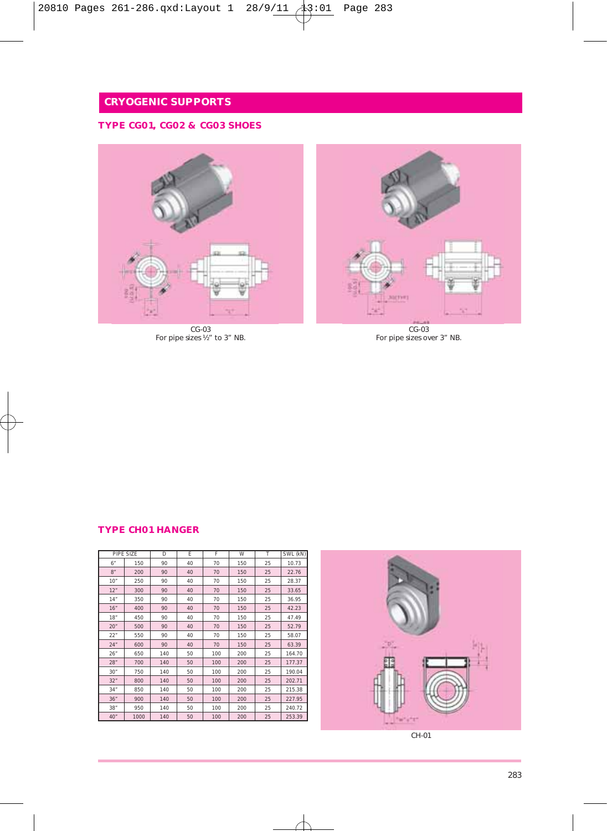## **TYPE CG01, CG02 & CG03 SHOES**



CG-03 For pipe sizes ½" to 3" NB.



CG-03 For pipe sizes over 3" NB.

### **TYPE CH01 HANGER**

|     | PIPE SIZE | D   | F  | F   | W   | т  | SWL (kN) |
|-----|-----------|-----|----|-----|-----|----|----------|
| 6"  | 150       | 90  | 40 | 70  | 150 | 25 | 10.73    |
| 8"  | 200       | 90  | 40 | 70  | 150 | 25 | 22.76    |
| 10" | 250       | 90  | 40 | 70  | 150 | 25 | 28.37    |
| 12" | 300       | 90  | 40 | 70  | 150 | 25 | 33.65    |
| 14" | 350       | 90  | 40 | 70  | 150 | 25 | 36.95    |
| 16" | 400       | 90  | 40 | 70  | 150 | 25 | 42.23    |
| 18" | 450       | 90  | 40 | 70  | 150 | 25 | 47.49    |
| 20" | 500       | 90  | 40 | 70  | 150 | 25 | 52.79    |
| 22" | 550       | 90  | 40 | 70  | 150 | 25 | 58.07    |
| 24" | 600       | 90  | 40 | 70  | 150 | 25 | 63.39    |
| 26" | 650       | 140 | 50 | 100 | 200 | 25 | 164.70   |
| 28" | 700       | 140 | 50 | 100 | 200 | 25 | 177.37   |
| 30" | 750       | 140 | 50 | 100 | 200 | 25 | 190.04   |
| 32" | 800       | 140 | 50 | 100 | 200 | 25 | 202.71   |
| 34" | 850       | 140 | 50 | 100 | 200 | 25 | 215.38   |
| 36" | 900       | 140 | 50 | 100 | 200 | 25 | 227.95   |
| 38" | 950       | 140 | 50 | 100 | 200 | 25 | 240.72   |
| 40" | 1000      | 140 | 50 | 100 | 200 | 25 | 253.39   |

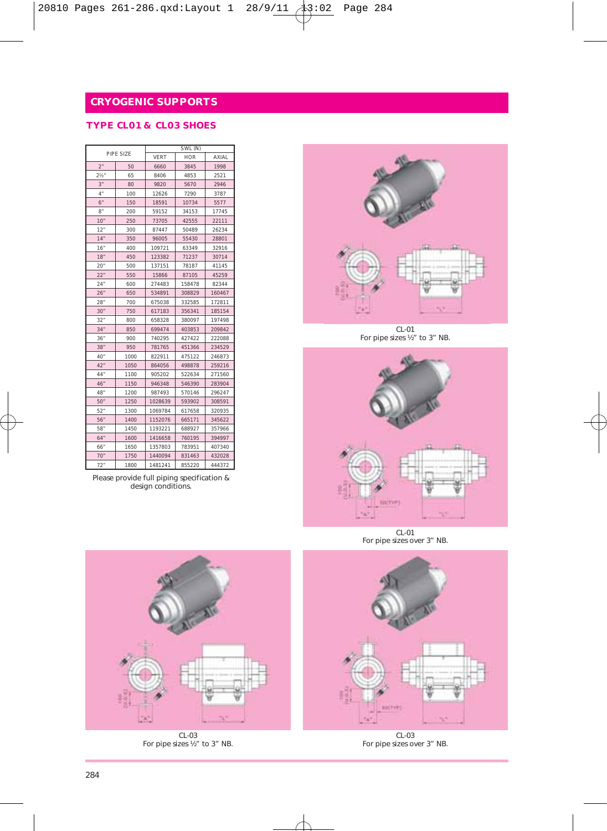### **TYPE CL01 & CL03 SHOES**

| PIPE SIZE          |      | SWL (N) |            |        |  |
|--------------------|------|---------|------------|--------|--|
|                    |      | VERT    | <b>HOR</b> | AXIAL  |  |
| 2"                 | 50   | 6660    | 3845       | 1998   |  |
| 2 <sup>16</sup>    | 65   | 8406    | 4853       | 2521   |  |
| 3"                 | 80   | 9820    | 5670       | 2946   |  |
| $4^{\prime\prime}$ | 100  | 12626   | 7290       | 3787   |  |
| 6"                 | 150  | 18591   | 10734      | 5577   |  |
| 8"                 | 200  | 59152   | 34153      | 17745  |  |
| 10"                | 250  | 73705   | 42555      | 22111  |  |
| 12"                | 300  | 87447   | 50489      | 26234  |  |
| 14"                | 350  | 96005   | 55430      | 28801  |  |
| 16"                | 400  | 109721  | 63349      | 32916  |  |
| 18"                | 450  | 123382  | 71237      | 30714  |  |
| 20"                | 500  | 137151  | 78187      | 41145  |  |
| 22"                | 550  | 15866   | 87105      | 45259  |  |
| 24"                | 600  | 274483  | 158478     | 82344  |  |
| 26"                | 650  | 534891  | 308829     | 160467 |  |
| 28"                | 700  | 675038  | 332585     | 172811 |  |
| 30"                | 750  | 617183  | 356341     | 185154 |  |
| 32"                | 800  | 658328  | 380097     | 197498 |  |
| 34"                | 850  | 699474  | 403853     | 209842 |  |
| 36"                | 900  | 740295  | 427422     | 222088 |  |
| 38"                | 950  | 781765  | 451366     | 234529 |  |
| 40"                | 1000 | 822911  | 475122     | 246873 |  |
| 42"                | 1050 | 864056  | 498878     | 259216 |  |
| 44*                | 1100 | 905202  | 522634     | 271560 |  |
| 46"                | 1150 | 946348  | 546390     | 283904 |  |
| 48*                | 1200 | 987493  | 570146     | 296247 |  |
| 50"                | 1250 | 1028639 | 593902     | 308591 |  |
| 52"                | 1300 | 1069784 | 617658     | 320935 |  |
| 56"                | 1400 | 1152076 | 665171     | 345622 |  |
| 58*                | 1450 | 1193221 | 688927     | 357966 |  |
| 64"                | 1600 | 1416658 | 760195     | 394997 |  |
| 66"                | 1650 | 1357803 | 783951     | 407340 |  |
| 70"                | 1750 | 1440094 | 831463     | 432028 |  |
| 72"                | 1800 | 1481241 | 855220     | 444372 |  |

Please provide full piping specification & design conditions.



CL-01 For pipe sizes ½" to 3" NB.



CL-01 For pipe sizes over 3" NB.



CL-03 For pipe sizes over 3" NB.



CL-03 For pipe sizes ½" to 3" NB.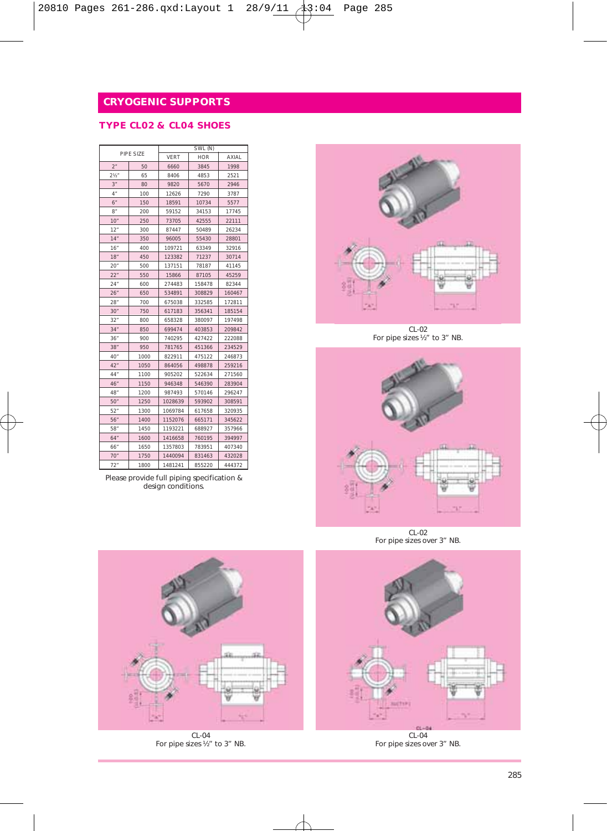### **TYPE CL02 & CL04 SHOES**

| PIPE SIZE      |      | SWL (N) |                     |        |  |
|----------------|------|---------|---------------------|--------|--|
|                |      | VERT    | <b>HOR</b><br>AXIAL |        |  |
| 2"             | 50   | 6660    | 3845                | 1998   |  |
| $2\frac{1}{2}$ | 65   | 8406    | 4853                | 2521   |  |
| 3"             | 80   | 9820    | 5670                | 2946   |  |
| 4"             | 100  | 12626   | 7290                | 3787   |  |
| 6"             | 150  | 18591   | 10734               | 5577   |  |
| 8"             | 200  | 59152   | 34153               | 17745  |  |
| 10"            | 250  | 73705   | 42555               | 22111  |  |
| 12"            | 300  | 87447   | 50489               | 26234  |  |
| 14"            | 350  | 96005   | 55430               | 28801  |  |
| 16"            | 400  | 109721  | 63349               | 32916  |  |
| 18"            | 450  | 123382  | 71237               | 30714  |  |
| 20"            | 500  | 137151  | 78187               | 41145  |  |
| 22"            | 550  | 15866   | 87105               | 45259  |  |
| 24"            | 600  | 274483  | 158478              | 82344  |  |
| 26"            | 650  | 534891  | 308829              | 160467 |  |
| 28"            | 700  | 675038  | 332585              | 172811 |  |
| 30"            | 750  | 617183  | 356341              | 185154 |  |
| 32"            | 800  | 658328  | 380097              | 197498 |  |
| 34"            | 850  | 699474  | 403853              | 209842 |  |
| 36"            | 900  | 740295  | 427422              | 222088 |  |
| 38"            | 950  | 781765  | 451366              | 234529 |  |
| 40"            | 1000 | 822911  | 475122              | 246873 |  |
| 42"            | 1050 | 864056  | 498878              | 259216 |  |
| 44"            | 1100 | 905202  | 522634              | 271560 |  |
| 46"            | 1150 | 946348  | 546390              | 283904 |  |
| 48"            | 1200 | 987493  | 570146              | 296247 |  |
| 50"            | 1250 | 1028639 | 593902              | 308591 |  |
| 52"            | 1300 | 1069784 | 617658              | 320935 |  |
| 56"            | 1400 | 1152076 | 665171              | 345622 |  |
| 58"            | 1450 | 1193221 | 688927              | 357966 |  |
| 64"            | 1600 | 1416658 | 760195              | 394997 |  |
| 66"            | 1650 | 1357803 | 783951              | 407340 |  |
| 70"            | 1750 | 1440094 | 831463              | 432028 |  |
| 72"            | 1800 | 1481241 | 855220              | 444372 |  |

Please provide full piping specification & design conditions.



CL-02 For pipe sizes ½" to 3" NB.



CL-02 For pipe sizes over 3" NB.



CL-04 For pipe sizes ½" to 3" NB.



For pipe sizes over 3" NB.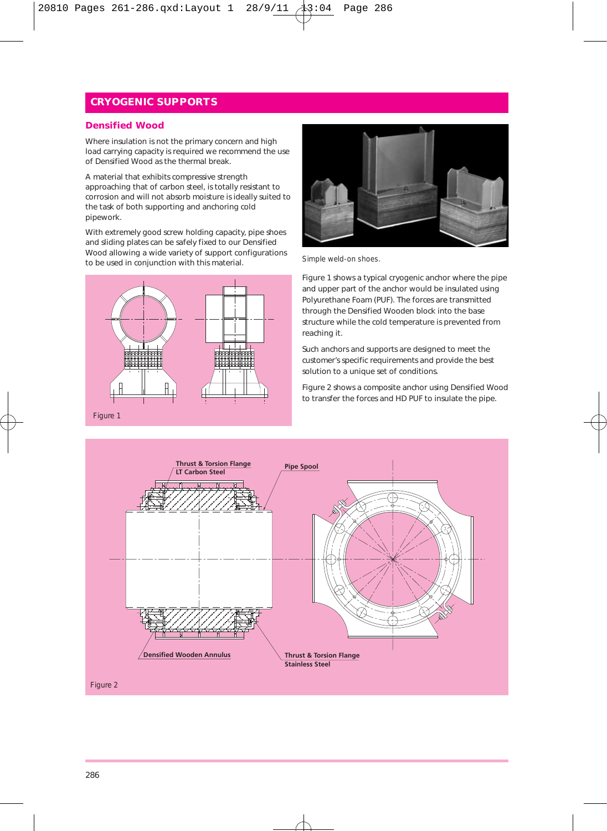#### **Densified Wood**

Where insulation is not the primary concern and high load carrying capacity is required we recommend the use of Densified Wood as the thermal break.

A material that exhibits compressive strength approaching that of carbon steel, is totally resistant to corrosion and will not absorb moisture is ideally suited to the task of both supporting and anchoring cold pipework.

With extremely good screw holding capacity, pipe shoes and sliding plates can be safely fixed to our Densified Wood allowing a wide variety of support configurations to be used in conjunction with this material.





Simple weld-on shoes.

Figure 1 shows a typical cryogenic anchor where the pipe and upper part of the anchor would be insulated using Polyurethane Foam (PUF). The forces are transmitted through the Densified Wooden block into the base structure while the cold temperature is prevented from reaching it.

Such anchors and supports are designed to meet the customer's specific requirements and provide the best solution to a unique set of conditions.

Figure 2 shows a composite anchor using Densified Wood to transfer the forces and HD PUF to insulate the pipe.

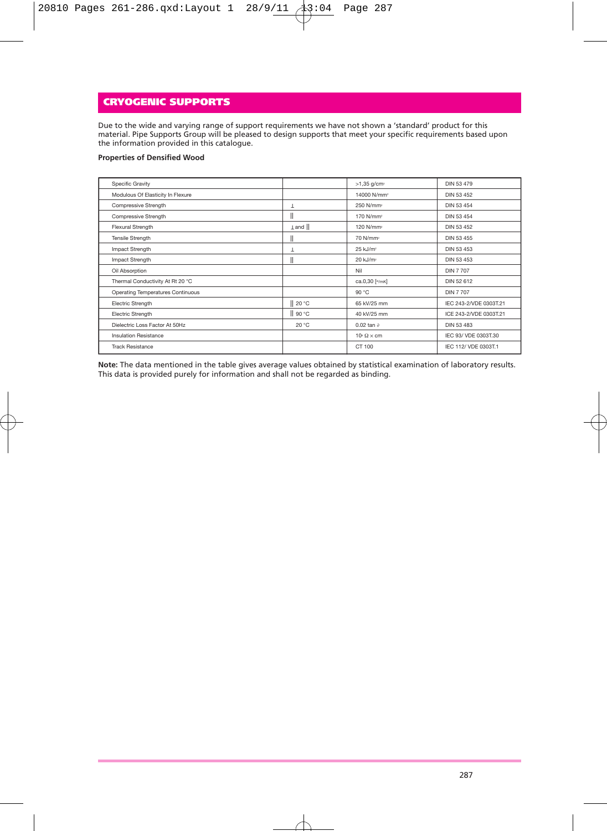Due to the wide and varying range of support requirements we have not shown a 'standard' product for this material. Pipe Supports Group will be pleased to design supports that meet your specific requirements based upon the information provided in this catalogue.

#### **Properties of Densified Wood**

| Specific Gravity                  |       | $>1,35$ g/cm <sup>3</sup>     | DIN 53 479             |
|-----------------------------------|-------|-------------------------------|------------------------|
| Modulous Of Elasticity In Flexure |       | 14000 N/mm <sup>2</sup>       | DIN 53 452             |
| Compressive Strength              | T     | 250 N/mm2                     | DIN 53 454             |
| Compressive Strength              | II    | 170 N/mm <sup>2</sup>         | DIN 53 454             |
| Flexural Strength                 | I and | 120 N/mm <sup>2</sup>         | DIN 53 452             |
| <b>Tensile Strength</b>           | II    | 70 N/mm <sup>2</sup>          | DIN 53 455             |
| Impact Strength                   | T     | 25 kJ/m <sup>2</sup>          | DIN 53 453             |
| Impact Strength                   |       | 20 kJ/m <sup>2</sup>          | DIN 53 453             |
| Oil Absorption                    |       | Nil                           | <b>DIN 7707</b>        |
| Thermal Conductivity At Rt 20 °C  |       | ca.0,30 [w/mK]                | DIN 52 612             |
| Operating Temperatures Continuous |       | 90 °C                         | <b>DIN 7 707</b>       |
| Electric Strength                 | 20 °C | 65 kV/25 mm                   | IEC 243-2/VDE 0303T.21 |
| Electric Strength                 | 90 °C | 40 kV/25 mm                   | ICE 243-2/VDE 0303T.21 |
| Dielectric Loss Eactor At 50Hz    | 20 °C | 0.02 tan $\partial$           | DIN 53 483             |
| <b>Insulation Resistance</b>      |       | $10^{\circ} \Omega \times cm$ | IEC 93/ VDE 0303T.30   |
| <b>Track Resistance</b>           |       | CT 100                        | IEC 112/ VDE 0303T.1   |

**Note:** The data mentioned in the table gives average values obtained by statistical examination of laboratory results. This data is provided purely for information and shall not be regarded as binding.